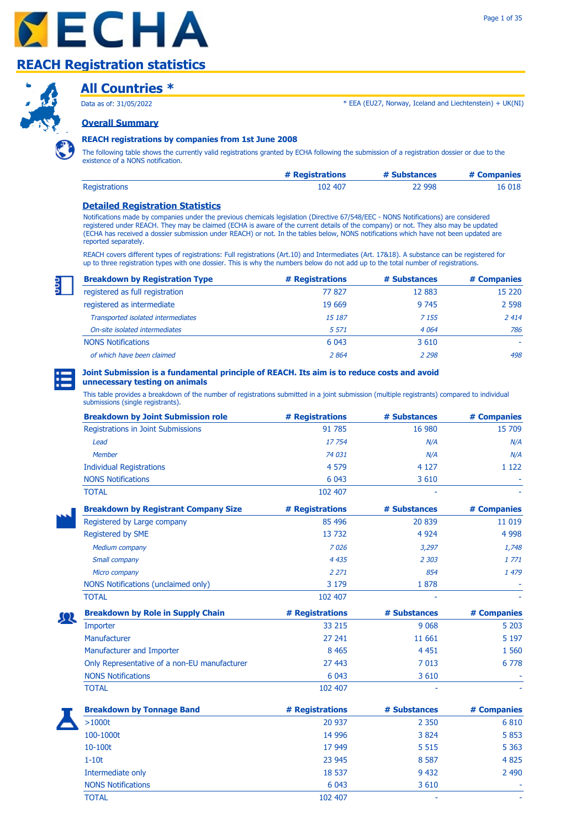



### **All Countries \***

Data as of: 31/05/2022

\* EEA (EU27, Norway, Iceland and Liechtenstein) + UK(NI)

**Overall Summary**

#### **REACH registrations by companies from 1st June 2008**

The following table shows the currently valid registrations granted by ECHA following the submission of a registration dossier or due to the existence of a NONS notification.

|                      | # Registrations | # Substances | # Companies |
|----------------------|-----------------|--------------|-------------|
| <b>Registrations</b> | 102 407         | 22 998       | 16 018      |

#### **Detailed Registration Statistics**

Notifications made by companies under the previous chemicals legislation (Directive 67/548/EEC - NONS Notifications) are considered registered under REACH. They may be claimed (ECHA is aware of the current details of the company) or not. They also may be updated (ECHA has received a dossier submission under REACH) or not. In the tables below, NONS notifications which have not been updated are reported separately.

REACH covers different types of registrations: Full registrations (Art.10) and Intermediates (Art. 17&18). A substance can be registered for up to three registration types with one dossier. This is why the numbers below do not add up to the total number of registrations.

| <b>Breakdown by Registration Type</b> | # Registrations | # Substances | # Companies |
|---------------------------------------|-----------------|--------------|-------------|
| registered as full registration       | 77827           | 12 8 83      | 15 2 20     |
| registered as intermediate            | 19 669          | 9 7 4 5      | 2 5 9 8     |
| Transported isolated intermediates    | 15 187          | 7 1 5 5      | 2 4 1 4     |
| On-site isolated intermediates        | 5 5 7 1         | 4 0 64       | 786         |
| <b>NONS Notifications</b>             | 6 0 43          | 3 6 1 0      |             |
| of which have been claimed            | 2864            | 2 2 9 8      | 498         |



#### **Joint Submission is a fundamental principle of REACH. Its aim is to reduce costs and avoid unnecessary testing on animals**

This table provides a breakdown of the number of registrations submitted in a joint submission (multiple registrants) compared to individual submissions (single registrants).

| <b>Breakdown by Joint Submission role</b>    | # Registrations | # Substances | # Companies |
|----------------------------------------------|-----------------|--------------|-------------|
| Registrations in Joint Submissions           | 91 785          | 16 980       | 15 709      |
| Lead                                         | 17754           | N/A          | N/A         |
| <b>Member</b>                                | 74 031          | N/A          | N/A         |
| <b>Individual Registrations</b>              | 4 5 7 9         | 4 1 2 7      | 1 1 2 2     |
| <b>NONS Notifications</b>                    | 6 0 43          | 3 6 1 0      |             |
| <b>TOTAL</b>                                 | 102 407         |              |             |
| <b>Breakdown by Registrant Company Size</b>  | # Registrations | # Substances | # Companies |
| Registered by Large company                  | 85 496          | 20 839       | 11 019      |
| Registered by SME                            | 13732           | 4 9 24       | 4 9 9 8     |
| <b>Medium company</b>                        | 7026            | 3,297        | 1,748       |
| Small company                                | 4 4 3 5         | 2 3 0 3      | 1 771       |
| Micro company                                | 2 2 7 1         | 854          | 1 479       |
| NONS Notifications (unclaimed only)          | 3 1 7 9         | 1878         |             |
| <b>TOTAL</b>                                 | 102 407         |              |             |
| <b>Breakdown by Role in Supply Chain</b>     | # Registrations | # Substances | # Companies |
| Importer                                     | 33 215          | 9 0 6 8      | 5 2 0 3     |
| Manufacturer                                 | 27 241          | 11 661       | 5 1 9 7     |
| Manufacturer and Importer                    | 8 4 6 5         | 4 4 5 1      | 1 5 6 0     |
| Only Representative of a non-EU manufacturer | 27 443          | 7 0 1 3      | 6 7 7 8     |
| <b>NONS Notifications</b>                    | 6 0 43          | 3 6 1 0      |             |
| <b>TOTAL</b>                                 | 102 407         |              |             |
| <b>Breakdown by Tonnage Band</b>             | # Registrations | # Substances | # Companies |
| $>1000t$                                     | 20 937          | 2 3 5 0      | 6810        |
| 100-1000t                                    | 14 9 96         | 3 8 2 4      | 5 8 5 3     |
| 10-100t                                      | 17 949          | 5 5 1 5      | 5 3 6 3     |
| $1-10t$                                      | 23 945          | 8 5 8 7      | 4825        |
| Intermediate only                            | 18 537          | 9 4 32       | 2 4 9 0     |
| <b>NONS Notifications</b>                    | 6 0 43          | 3 6 1 0      |             |

TOTAL 102 407 - -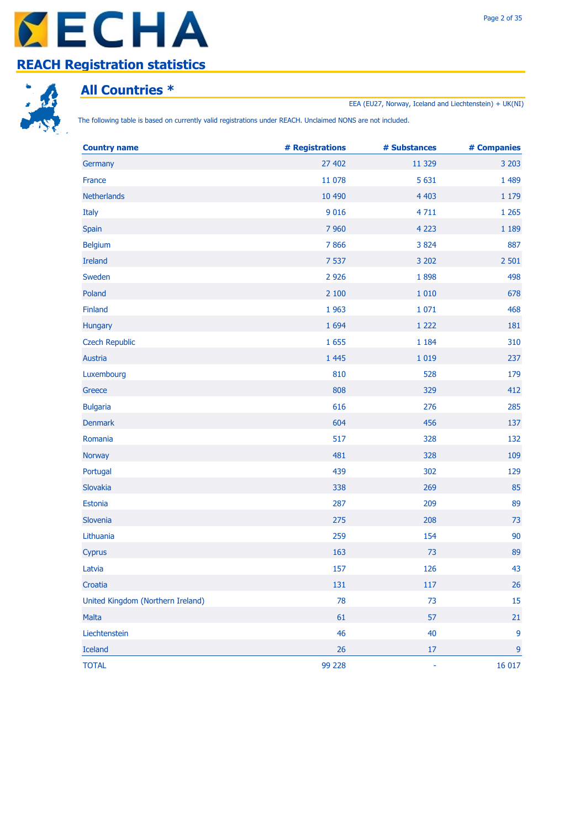



# **All Countries \***

EEA (EU27, Norway, Iceland and Liechtenstein) + UK(NI)

The following table is based on currently valid registrations under REACH. Unclaimed NONS are not included.

| <b>Country name</b>               | # Registrations | # Substances | # Companies |
|-----------------------------------|-----------------|--------------|-------------|
| Germany                           | 27 402          | 11 3 29      | 3 2 0 3     |
| France                            | 11 078          | 5 6 3 1      | 1 4 8 9     |
| Netherlands                       | 10 490          | 4 4 0 3      | 1 1 7 9     |
| Italy                             | 9 0 1 6         | 4711         | 1 2 6 5     |
| Spain                             | 7 9 6 0         | 4 2 2 3      | 1 1 8 9     |
| <b>Belgium</b>                    | 7866            | 3 8 2 4      | 887         |
| <b>Ireland</b>                    | 7 5 3 7         | 3 2 0 2      | 2 5 0 1     |
| Sweden                            | 2 9 2 6         | 1898         | 498         |
| Poland                            | 2 100           | 1 0 1 0      | 678         |
| Finland                           | 1963            | 1 0 7 1      | 468         |
| Hungary                           | 1 6 9 4         | 1 2 2 2      | 181         |
| <b>Czech Republic</b>             | 1 6 5 5         | 1 1 8 4      | 310         |
| Austria                           | 1 4 4 5         | 1 0 1 9      | 237         |
| Luxembourg                        | 810             | 528          | 179         |
| Greece                            | 808             | 329          | 412         |
| <b>Bulgaria</b>                   | 616             | 276          | 285         |
| <b>Denmark</b>                    | 604             | 456          | 137         |
| Romania                           | 517             | 328          | 132         |
| <b>Norway</b>                     | 481             | 328          | 109         |
| Portugal                          | 439             | 302          | 129         |
| Slovakia                          | 338             | 269          | 85          |
| Estonia                           | 287             | 209          | 89          |
| Slovenia                          | 275             | 208          | 73          |
| Lithuania                         | 259             | 154          | 90          |
| Cyprus                            | 163             | 73           | 89          |
| Latvia                            | 157             | 126          | 43          |
| Croatia                           | 131             | 117          | 26          |
| United Kingdom (Northern Ireland) | 78              | 73           | 15          |
| Malta                             | 61              | 57           | 21          |
| Liechtenstein                     | 46              | 40           | 9           |
| <b>Iceland</b>                    | 26              | $17\,$       | 9           |
| <b>TOTAL</b>                      | 99 228          | $\Box$       | 16 017      |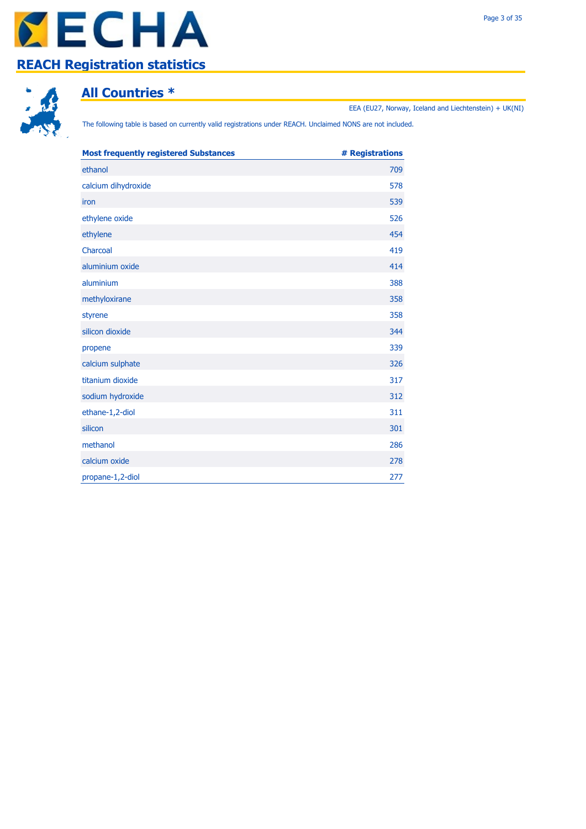



### **All Countries \***

EEA (EU27, Norway, Iceland and Liechtenstein) + UK(NI)

The following table is based on currently valid registrations under REACH. Unclaimed NONS are not included.

| <b>Most frequently registered Substances</b> | # Registrations |
|----------------------------------------------|-----------------|
| ethanol                                      | 709             |
| calcium dihydroxide                          | 578             |
| iron                                         | 539             |
| ethylene oxide                               | 526             |
| ethylene                                     | 454             |
| Charcoal                                     | 419             |
| aluminium oxide                              | 414             |
| aluminium                                    | 388             |
| methyloxirane                                | 358             |
| styrene                                      | 358             |
| silicon dioxide                              | 344             |
| propene                                      | 339             |
| calcium sulphate                             | 326             |
| titanium dioxide                             | 317             |
| sodium hydroxide                             | 312             |
| ethane-1,2-diol                              | 311             |
| silicon                                      | 301             |
| methanol                                     | 286             |
| calcium oxide                                | 278             |
| propane-1,2-diol                             | 277             |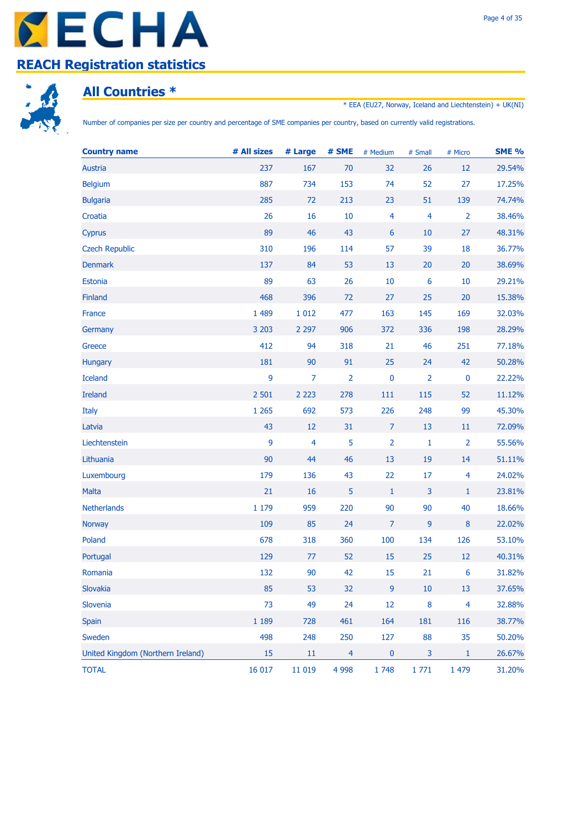



### **All Countries \***

\* EEA (EU27, Norway, Iceland and Liechtenstein) + UK(NI)

Number of companies per size per country and percentage of SME companies per country, based on currently valid registrations.

| <b>Country name</b>               | # All sizes | # Large | # SME          | # Medium         | # Small                 | # Micro         | <b>SME %</b> |
|-----------------------------------|-------------|---------|----------------|------------------|-------------------------|-----------------|--------------|
| Austria                           | 237         | 167     | 70             | 32               | 26                      | 12              | 29.54%       |
| <b>Belgium</b>                    | 887         | 734     | 153            | 74               | 52                      | 27              | 17.25%       |
| <b>Bulgaria</b>                   | 285         | 72      | 213            | 23               | 51                      | 139             | 74.74%       |
| Croatia                           | 26          | 16      | 10             | $\overline{4}$   | $\overline{4}$          | $\overline{2}$  | 38.46%       |
| Cyprus                            | 89          | 46      | 43             | $\boldsymbol{6}$ | 10                      | 27              | 48.31%       |
| <b>Czech Republic</b>             | 310         | 196     | 114            | 57               | 39                      | 18              | 36.77%       |
| <b>Denmark</b>                    | 137         | 84      | 53             | 13               | 20                      | 20              | 38.69%       |
| Estonia                           | 89          | 63      | 26             | $10\,$           | $6\phantom{1}6$         | 10              | 29.21%       |
| Finland                           | 468         | 396     | 72             | 27               | 25                      | 20              | 15.38%       |
| France                            | 1 4 8 9     | 1 0 1 2 | 477            | 163              | 145                     | 169             | 32.03%       |
| Germany                           | 3 2 0 3     | 2 2 9 7 | 906            | 372              | 336                     | 198             | 28.29%       |
| Greece                            | 412         | 94      | 318            | 21               | 46                      | 251             | 77.18%       |
| Hungary                           | 181         | 90      | 91             | 25               | 24                      | 42              | 50.28%       |
| <b>Iceland</b>                    | 9           | 7       | $\overline{2}$ | $\pmb{0}$        | $\overline{2}$          | $\bf{0}$        | 22.22%       |
| <b>Ireland</b>                    | 2 5 0 1     | 2 2 2 3 | 278            | 111              | 115                     | 52              | 11.12%       |
| Italy                             | 1 2 6 5     | 692     | 573            | 226              | 248                     | 99              | 45.30%       |
| Latvia                            | 43          | 12      | 31             | $\overline{7}$   | 13                      | 11              | 72.09%       |
| Liechtenstein                     | 9           | 4       | 5              | $\overline{2}$   | 1                       | $\overline{2}$  | 55.56%       |
| Lithuania                         | 90          | 44      | 46             | 13               | 19                      | 14              | 51.11%       |
| Luxembourg                        | 179         | 136     | 43             | 22               | 17                      | $\overline{4}$  | 24.02%       |
| <b>Malta</b>                      | 21          | 16      | 5              | $\mathbf{1}$     | $\overline{3}$          | $\mathbf{1}$    | 23.81%       |
| <b>Netherlands</b>                | 1 179       | 959     | 220            | 90               | 90                      | 40              | 18.66%       |
| Norway                            | 109         | 85      | 24             | $\overline{7}$   | $\overline{9}$          | $\bf 8$         | 22.02%       |
| Poland                            | 678         | 318     | 360            | 100              | 134                     | 126             | 53.10%       |
| Portugal                          | 129         | 77      | 52             | 15               | 25                      | 12              | 40.31%       |
| Romania                           | 132         | 90      | 42             | 15               | 21                      | $6\phantom{1}6$ | 31.82%       |
| Slovakia                          | 85          | 53      | 32             | 9                | $10\,$                  | 13              | 37.65%       |
| Slovenia                          | 73          | 49      | 24             | $12$             | 8                       | $\overline{4}$  | 32.88%       |
| Spain                             | 1 1 8 9     | 728     | 461            | 164              | 181                     | 116             | 38.77%       |
| Sweden                            | 498         | 248     | 250            | 127              | 88                      | 35              | 50.20%       |
| United Kingdom (Northern Ireland) | 15          | 11      | $\overline{4}$ | $\pmb{0}$        | $\overline{\mathbf{3}}$ | 1               | 26.67%       |
| <b>TOTAL</b>                      | 16 017      | 11 019  | 4 9 9 8        | 1748             | 1771                    | 1 479           | 31.20%       |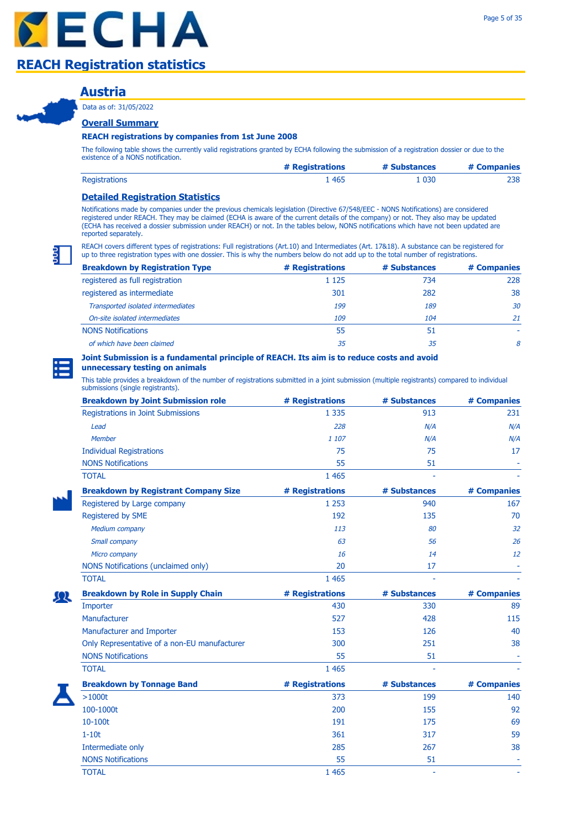### **Austria**

Data as of: 31/05/2022

### **Overall Summary**

### **REACH registrations by companies from 1st June 2008**

The following table shows the currently valid registrations granted by ECHA following the submission of a registration dossier or due to the existence of a NONS notification.

|                      | # Registrations | # Substances | # Companies |
|----------------------|-----------------|--------------|-------------|
| <b>Registrations</b> | 465             | 1 030        | 238         |

#### **Detailed Registration Statistics**

Notifications made by companies under the previous chemicals legislation (Directive 67/548/EEC - NONS Notifications) are considered registered under REACH. They may be claimed (ECHA is aware of the current details of the company) or not. They also may be updated (ECHA has received a dossier submission under REACH) or not. In the tables below, NONS notifications which have not been updated are reported separately.

REACH covers different types of registrations: Full registrations (Art.10) and Intermediates (Art. 17&18). A substance can be registered for up to three registration types with one dossier. This is why the numbers below do not add up to the total number of registrations.

| <b>Breakdown by Registration Type</b> | # Registrations | # Substances | # Companies |
|---------------------------------------|-----------------|--------------|-------------|
| registered as full registration       | 1 1 2 5         | 734          | 228         |
| registered as intermediate            | 301             | 282          | 38          |
| Transported isolated intermediates    | 199             | 189          | 30          |
| On-site isolated intermediates        | 109             | 104          | 21          |
| <b>NONS Notifications</b>             | 55              | 51           |             |
| of which have been claimed            | 35              | 35           | 8           |

#### **Joint Submission is a fundamental principle of REACH. Its aim is to reduce costs and avoid**

**unnecessary testing on animals** 

| <b>Breakdown by Joint Submission role</b>    | # Registrations | # Substances | # Companies |
|----------------------------------------------|-----------------|--------------|-------------|
| Registrations in Joint Submissions           | 1 3 3 5         | 913          | 231         |
| Lead                                         | 228             | N/A          | N/A         |
| <b>Member</b>                                | 1 107           | N/A          | N/A         |
| <b>Individual Registrations</b>              | 75              | 75           | 17          |
| <b>NONS Notifications</b>                    | 55              | 51           |             |
| <b>TOTAL</b>                                 | 1 4 6 5         |              |             |
| <b>Breakdown by Registrant Company Size</b>  | # Registrations | # Substances | # Companies |
| Registered by Large company                  | 1 2 5 3         | 940          | 167         |
| Registered by SME                            | 192             | 135          | 70          |
| Medium company                               | 113             | 80           | 32          |
| Small company                                | 63              | 56           | 26          |
| Micro company                                | 16              | 14           | 12          |
| <b>NONS Notifications (unclaimed only)</b>   | 20              | 17           |             |
| <b>TOTAL</b>                                 | 1 4 6 5         |              |             |
| <b>Breakdown by Role in Supply Chain</b>     | # Registrations | # Substances | # Companies |
| Importer                                     | 430             | 330          | 89          |
| Manufacturer                                 | 527             | 428          | 115         |
| Manufacturer and Importer                    | 153             | 126          | 40          |
| Only Representative of a non-EU manufacturer | 300             | 251          | 38          |
| <b>NONS Notifications</b>                    | 55              | 51           |             |
| <b>TOTAL</b>                                 | 1 4 6 5         |              |             |
| <b>Breakdown by Tonnage Band</b>             | # Registrations | # Substances | # Companies |
| $>1000t$                                     | 373             | 199          | 140         |
| 100-1000t                                    | 200             | 155          | 92          |
| 10-100t                                      | 191             | 175          | 69          |
| $1-10t$                                      | 361             | 317          | 59          |
| Intermediate only                            | 285             | 267          | 38          |
| <b>NONS Notifications</b>                    | 55              | 51           |             |
| <b>TOTAL</b>                                 | 1 4 6 5         |              |             |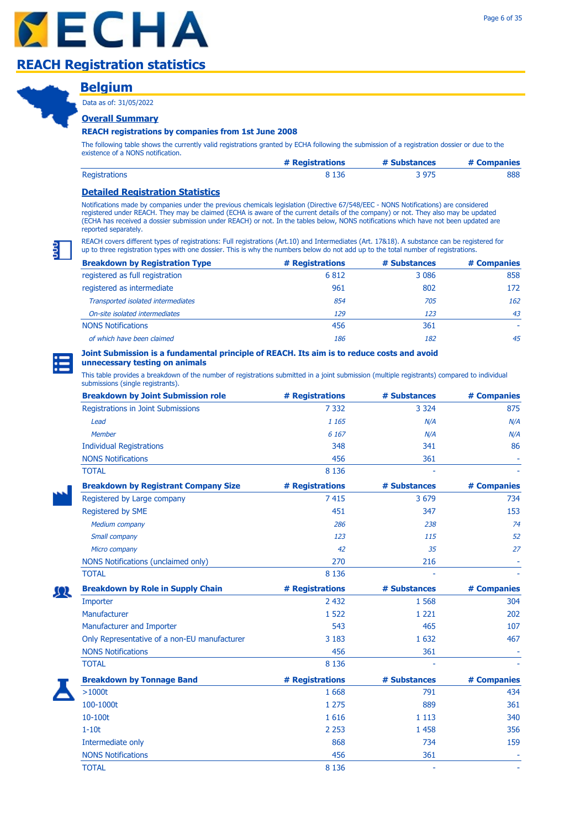### **Belgium** Data as of: 31/05/2022

### **Overall Summary**

### **REACH registrations by companies from 1st June 2008**

The following table shows the currently valid registrations granted by ECHA following the submission of a registration dossier or due to the existence of a NONS notification.

|                      | # Registrations | # Substances | # Companies |
|----------------------|-----------------|--------------|-------------|
| <b>Registrations</b> | २ 136           | 3 975        | 888         |

### **Detailed Registration Statistics**

Notifications made by companies under the previous chemicals legislation (Directive 67/548/EEC - NONS Notifications) are considered registered under REACH. They may be claimed (ECHA is aware of the current details of the company) or not. They also may be updated (ECHA has received a dossier submission under REACH) or not. In the tables below, NONS notifications which have not been updated are reported separately.

REACH covers different types of registrations: Full registrations (Art.10) and Intermediates (Art. 17&18). A substance can be registered for up to three registration types with one dossier. This is why the numbers below do not add up to the total number of registrations.

| <b>Breakdown by Registration Type</b> | # Registrations | # Substances | # Companies |
|---------------------------------------|-----------------|--------------|-------------|
| registered as full registration       | 6812            | 3 0 8 6      | 858         |
| registered as intermediate            | 961             | 802          | 172         |
| Transported isolated intermediates    | 854             | 705          | 162         |
| On-site isolated intermediates        | 129             | 123          | 43          |
| <b>NONS Notifications</b>             | 456             | 361          |             |
| of which have been claimed            | 186             | 182          | 45          |

#### **Joint Submission is a fundamental principle of REACH. Its aim is to reduce costs and avoid unnecessary testing on animals**

| <b>Breakdown by Joint Submission role</b>    | # Registrations | # Substances | # Companies |
|----------------------------------------------|-----------------|--------------|-------------|
| Registrations in Joint Submissions           | 7 3 3 2         | 3 3 2 4      | 875         |
| Lead                                         | 1 1 6 5         | N/A          | N/A         |
| Member                                       | 6 1 6 7         | N/A          | N/A         |
| <b>Individual Registrations</b>              | 348             | 341          | 86          |
| <b>NONS Notifications</b>                    | 456             | 361          |             |
| <b>TOTAL</b>                                 | 8 1 3 6         |              |             |
| <b>Breakdown by Registrant Company Size</b>  | # Registrations | # Substances | # Companies |
| Registered by Large company                  | 7 4 1 5         | 3 6 7 9      | 734         |
| Registered by SME                            | 451             | 347          | 153         |
| <b>Medium company</b>                        | 286             | 238          | 74          |
| Small company                                | 123             | 115          | 52          |
| Micro company                                | 42              | 35           | 27          |
| NONS Notifications (unclaimed only)          | 270             | 216          |             |
| <b>TOTAL</b>                                 | 8 1 3 6         |              |             |
| <b>Breakdown by Role in Supply Chain</b>     | # Registrations | # Substances | # Companies |
| Importer                                     | 2 4 3 2         | 1 5 6 8      | 304         |
| Manufacturer                                 | 1 5 2 2         | 1 2 2 1      | 202         |
| Manufacturer and Importer                    | 543             | 465          | 107         |
| Only Representative of a non-EU manufacturer | 3 1 8 3         | 1 6 3 2      | 467         |
| <b>NONS Notifications</b>                    | 456             | 361          |             |
| <b>TOTAL</b>                                 | 8 1 3 6         |              |             |
| <b>Breakdown by Tonnage Band</b>             | # Registrations | # Substances | # Companies |
| $>1000t$                                     | 1 6 6 8         | 791          | 434         |
| 100-1000t                                    | 1 2 7 5         | 889          | 361         |
| 10-100t                                      | 1616            | 1 1 1 3      | 340         |
| $1-10t$                                      | 2 2 5 3         | 1 4 5 8      | 356         |
| Intermediate only                            | 868             | 734          | 159         |
|                                              |                 |              |             |
| <b>NONS Notifications</b>                    | 456             | 361          |             |
| <b>TOTAL</b>                                 | 8 1 3 6         |              |             |

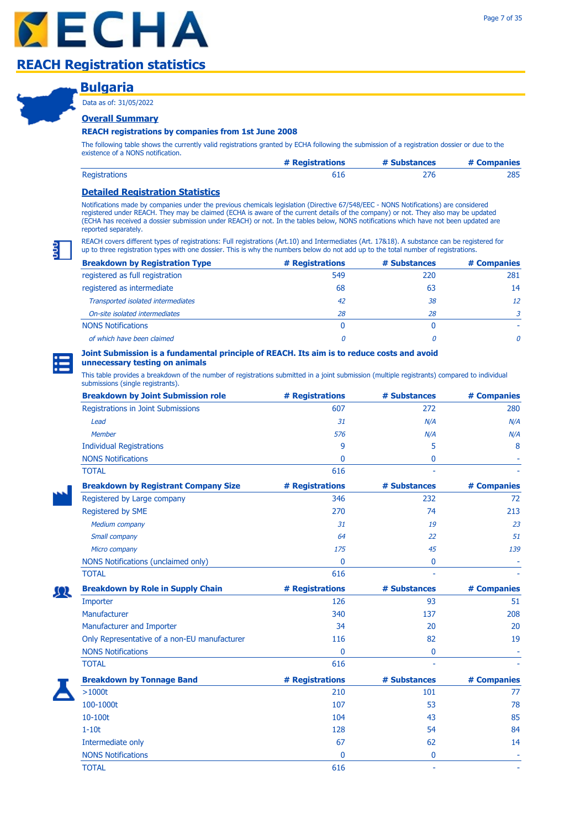### **Bulgaria**

Data as of: 31/05/2022

### **Overall Summary**

### **REACH registrations by companies from 1st June 2008**

The following table shows the currently valid registrations granted by ECHA following the submission of a registration dossier or due to the existence of a NONS notification.

|                      | # Registrations | # Substances | # Companies |
|----------------------|-----------------|--------------|-------------|
| <b>Registrations</b> |                 |              | 285         |

### **Detailed Registration Statistics**

Notifications made by companies under the previous chemicals legislation (Directive 67/548/EEC - NONS Notifications) are considered registered under REACH. They may be claimed (ECHA is aware of the current details of the company) or not. They also may be updated (ECHA has received a dossier submission under REACH) or not. In the tables below, NONS notifications which have not been updated are reported separately.

REACH covers different types of registrations: Full registrations (Art.10) and Intermediates (Art. 17&18). A substance can be registered for up to three registration types with one dossier. This is why the numbers below do not add up to the total number of registrations.

| <b>Breakdown by Registration Type</b> | # Registrations | # Substances | # Companies |
|---------------------------------------|-----------------|--------------|-------------|
| registered as full registration       | 549             | 220          | 281         |
| registered as intermediate            | 68              | 63           | 14          |
| Transported isolated intermediates    | 42              | 38           | 12          |
| On-site isolated intermediates        | 28              | 28           |             |
| <b>NONS Notifications</b>             | 0               |              |             |
| of which have been claimed            |                 |              | 0           |

### **Joint Submission is a fundamental principle of REACH. Its aim is to reduce costs and avoid**

### **unnecessary testing on animals**

| <b>Breakdown by Joint Submission role</b>    | # Registrations | # Substances | # Companies |
|----------------------------------------------|-----------------|--------------|-------------|
| <b>Registrations in Joint Submissions</b>    | 607             | 272          | 280         |
| Lead                                         | 31              | N/A          | N/A         |
| <b>Member</b>                                | 576             | N/A          | N/A         |
| <b>Individual Registrations</b>              | 9               | 5            | 8           |
| <b>NONS Notifications</b>                    | 0               | 0            |             |
| <b>TOTAL</b>                                 | 616             |              |             |
| <b>Breakdown by Registrant Company Size</b>  | # Registrations | # Substances | # Companies |
| Registered by Large company                  | 346             | 232          | 72          |
| Registered by SME                            | 270             | 74           | 213         |
| <b>Medium company</b>                        | 31              | 19           | 23          |
| Small company                                | 64              | 22           | 51          |
| Micro company                                | 175             | 45           | 139         |
| NONS Notifications (unclaimed only)          | 0               | 0            |             |
| <b>TOTAL</b>                                 | 616             |              |             |
| <b>Breakdown by Role in Supply Chain</b>     | # Registrations | # Substances | # Companies |
| Importer                                     | 126             | 93           | 51          |
| Manufacturer                                 | 340             | 137          | 208         |
| Manufacturer and Importer                    | 34              | 20           | 20          |
| Only Representative of a non-EU manufacturer | 116             | 82           | 19          |
| <b>NONS Notifications</b>                    | $\Omega$        | 0            |             |
| <b>TOTAL</b>                                 | 616             |              |             |
| <b>Breakdown by Tonnage Band</b>             | # Registrations | # Substances | # Companies |
| >1000t                                       | 210             | 101          | 77          |
| 100-1000t                                    | 107             | 53           | 78          |
| 10-100t                                      | 104             | 43           | 85          |
| $1-10t$                                      | 128             | 54           | 84          |
| Intermediate only                            | 67              | 62           | 14          |
| <b>NONS Notifications</b>                    | 0               | 0            |             |
| <b>TOTAL</b>                                 | 616             | ä,           |             |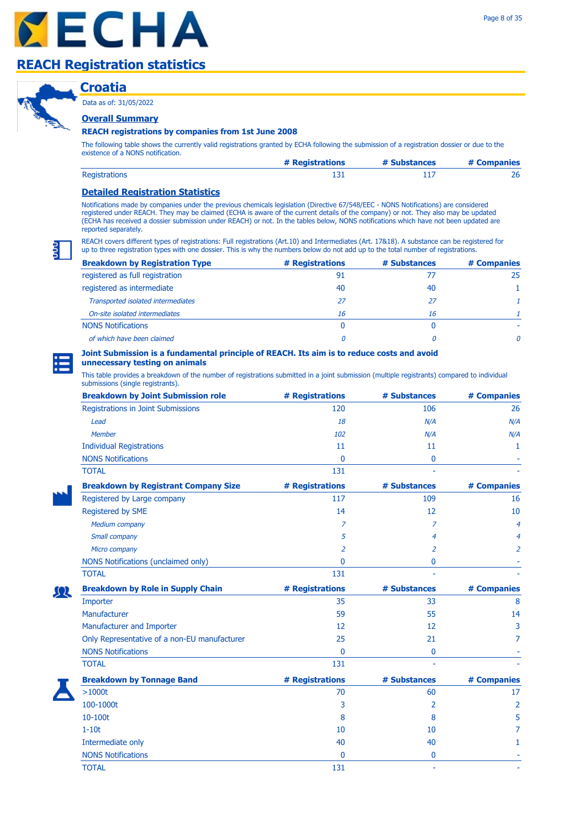Data as of: 31/05/2022

# **Croatia Overall Summary**

### **REACH registrations by companies from 1st June 2008**

The following table shows the currently valid registrations granted by ECHA following the submission of a registration dossier or due to the existence of a NONS notification.

|                      | # Registrations | # Substances | # Companies |
|----------------------|-----------------|--------------|-------------|
| <b>Registrations</b> |                 |              |             |

### **Detailed Registration Statistics**

Notifications made by companies under the previous chemicals legislation (Directive 67/548/EEC - NONS Notifications) are considered registered under REACH. They may be claimed (ECHA is aware of the current details of the company) or not. They also may be updated (ECHA has received a dossier submission under REACH) or not. In the tables below, NONS notifications which have not been updated are reported separately.

REACH covers different types of registrations: Full registrations (Art.10) and Intermediates (Art. 17&18). A substance can be registered for up to three registration types with one dossier. This is why the numbers below do not add up to the total number of registrations.

| <b>Breakdown by Registration Type</b> | # Registrations | # Substances | # Companies |
|---------------------------------------|-----------------|--------------|-------------|
| registered as full registration       | 91              |              | 25          |
| registered as intermediate            | 40              | 40           |             |
| Transported isolated intermediates    | 27              | 27           |             |
| On-site isolated intermediates        | 16              | 16           |             |
| <b>NONS Notifications</b>             | 0               |              |             |
| of which have been claimed            |                 |              |             |

#### **Joint Submission is a fundamental principle of REACH. Its aim is to reduce costs and avoid unnecessary testing on animals**

| <b>Breakdown by Joint Submission role</b>    | # Registrations | # Substances | # Companies    |
|----------------------------------------------|-----------------|--------------|----------------|
| Registrations in Joint Submissions           | 120             | 106          | 26             |
| Lead                                         | 18              | N/A          | N/A            |
| Member                                       | 102             | N/A          | N/A            |
| <b>Individual Registrations</b>              | 11              | 11           | 1              |
| <b>NONS Notifications</b>                    | $\mathbf{0}$    | 0            |                |
| <b>TOTAL</b>                                 | 131             |              |                |
| <b>Breakdown by Registrant Company Size</b>  | # Registrations | # Substances | # Companies    |
| Registered by Large company                  | 117             | 109          | 16             |
| Registered by SME                            | 14              | 12           | 10             |
| Medium company                               | $\overline{z}$  | 7            | $\overline{4}$ |
| Small company                                | 5               | 4            | 4              |
| Micro company                                | $\overline{a}$  | 2            | 2              |
| NONS Notifications (unclaimed only)          | $\mathbf{0}$    | $\bf{0}$     |                |
| <b>TOTAL</b>                                 | 131             |              |                |
| <b>Breakdown by Role in Supply Chain</b>     | # Registrations | # Substances | # Companies    |
| Importer                                     | 35              | 33           | 8              |
| Manufacturer                                 | 59              | 55           | 14             |
| Manufacturer and Importer                    | 12              | 12           | 3              |
| Only Representative of a non-EU manufacturer | 25              | 21           | 7              |
| <b>NONS Notifications</b>                    | $\mathbf{0}$    | 0            |                |
| <b>TOTAL</b>                                 | 131             |              |                |
| <b>Breakdown by Tonnage Band</b>             | # Registrations | # Substances | # Companies    |
| $>1000t$                                     | 70              | 60           | 17             |
| 100-1000t                                    | 3               | 2            | $\overline{2}$ |
| 10-100t                                      | 8               | 8            | 5              |
| $1-10t$                                      | 10              | 10           | 7              |
| Intermediate only                            | 40              | 40           | 1              |
| <b>NONS Notifications</b>                    | $\mathbf{0}$    | 0            |                |
| <b>TOTAL</b>                                 | 131             | ä,           |                |

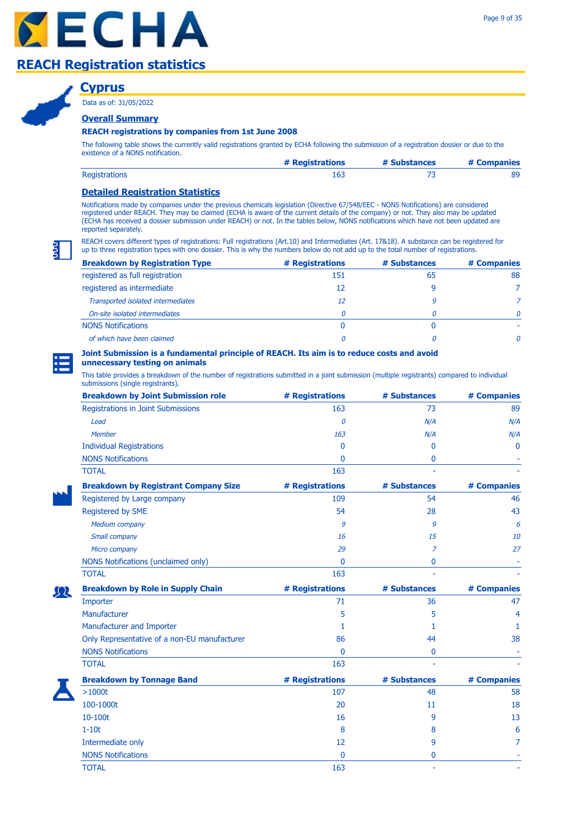

### **Cyprus**

Data as of: 31/05/2022

### **Overall Summary**

### **REACH registrations by companies from 1st June 2008**

The following table shows the currently valid registrations granted by ECHA following the submission of a registration dossier or due to the existence of a NONS notification.

|                      | # Registrations | # Substances | # Companies |
|----------------------|-----------------|--------------|-------------|
| <b>Registrations</b> |                 |              |             |

### **Detailed Registration Statistics**

Notifications made by companies under the previous chemicals legislation (Directive 67/548/EEC - NONS Notifications) are considered registered under REACH. They may be claimed (ECHA is aware of the current details of the company) or not. They also may be updated (ECHA has received a dossier submission under REACH) or not. In the tables below, NONS notifications which have not been updated are reported separately.

REACH covers different types of registrations: Full registrations (Art.10) and Intermediates (Art. 17&18). A substance can be registered for up to three registration types with one dossier. This is why the numbers below do not add up to the total number of registrations.

| <b>Breakdown by Registration Type</b> | # Registrations | # Substances | # Companies  |
|---------------------------------------|-----------------|--------------|--------------|
| registered as full registration       | 151             | 65           | 88           |
| registered as intermediate            | 12              |              |              |
| Transported isolated intermediates    | 12              | 9            |              |
| On-site isolated intermediates        | 0               |              | <sup>n</sup> |
| <b>NONS Notifications</b>             | 0               |              |              |
| of which have been claimed            |                 |              | 0            |

#### **Joint Submission is a fundamental principle of REACH. Its aim is to reduce costs and avoid unnecessary testing on animals**

This table provides a breakdown of the number of registrations submitted in a joint submission (multiple registrants) compared to individual

| submissions (single registrants).            |                 |              |              |
|----------------------------------------------|-----------------|--------------|--------------|
| <b>Breakdown by Joint Submission role</b>    | # Registrations | # Substances | # Companies  |
| Registrations in Joint Submissions           | 163             | 73           | 89           |
| Lead                                         | 0               | N/A          | N/A          |
| Member                                       | 163             | N/A          | N/A          |
| <b>Individual Registrations</b>              | 0               | 0            | $\mathbf{0}$ |
| <b>NONS Notifications</b>                    | 0               | $\mathbf{0}$ |              |
| <b>TOTAL</b>                                 | 163             |              |              |
| <b>Breakdown by Registrant Company Size</b>  | # Registrations | # Substances | # Companies  |
| Registered by Large company                  | 109             | 54           | 46           |
| Registered by SME                            | 54              | 28           | 43           |
| Medium company                               | 9               | 9            | 6            |
| Small company                                | 16              | 15           | 10           |
| Micro company                                | 29              | 7            | 27           |
| NONS Notifications (unclaimed only)          | $\mathbf{0}$    | 0            |              |
| <b>TOTAL</b>                                 | 163             |              |              |
| <b>Breakdown by Role in Supply Chain</b>     | # Registrations | # Substances | # Companies  |
| Importer                                     | 71              | 36           | 47           |
| Manufacturer                                 | 5               | 5            | 4            |
| Manufacturer and Importer                    | 1               | 1            | 1            |
| Only Representative of a non-EU manufacturer | 86              | 44           | 38           |
| <b>NONS Notifications</b>                    | 0               | $\mathbf 0$  |              |
| <b>TOTAL</b>                                 | 163             |              |              |
| <b>Breakdown by Tonnage Band</b>             | # Registrations | # Substances | # Companies  |
| $>1000t$                                     | 107             | 48           | 58           |
| 100-1000t                                    | 20              | 11           | 18           |
| 10-100t                                      | 16              | 9            | 13           |
| $1-10t$                                      | 8               | 8            | 6            |
| Intermediate only                            | 12              | 9            | 7            |
| <b>NONS Notifications</b>                    | 0               | 0            |              |

TOTAL to the contract of the contract of the contract of the contract of the contract of the contract of the contract of the contract of the contract of the contract of the contract of the contract of the contract of the

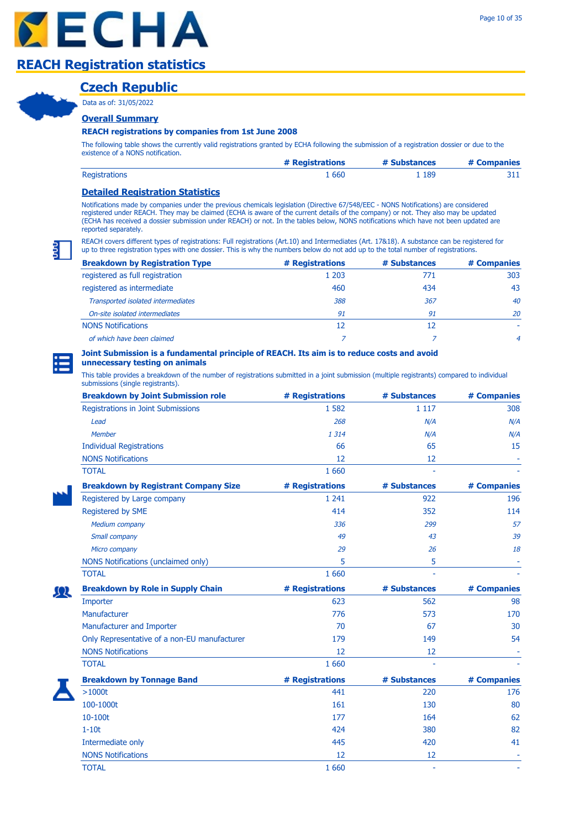### **Czech Republic**

Data as of: 31/05/2022

### **Overall Summary**

#### **REACH registrations by companies from 1st June 2008**

The following table shows the currently valid registrations granted by ECHA following the submission of a registration dossier or due to the existence of a NONS notification.

|                      | # Registrations | # Substances | # Companies |
|----------------------|-----------------|--------------|-------------|
| <b>Registrations</b> | . 660           | . 189        | ᇰᆠᆠ         |

### **Detailed Registration Statistics**

Notifications made by companies under the previous chemicals legislation (Directive 67/548/EEC - NONS Notifications) are considered registered under REACH. They may be claimed (ECHA is aware of the current details of the company) or not. They also may be updated (ECHA has received a dossier submission under REACH) or not. In the tables below, NONS notifications which have not been updated are reported separately.

REACH covers different types of registrations: Full registrations (Art.10) and Intermediates (Art. 17&18). A substance can be registered for up to three registration types with one dossier. This is why the numbers below do not add up to the total number of registrations.

| <b>Breakdown by Registration Type</b> | # Registrations | # Substances | # Companies    |
|---------------------------------------|-----------------|--------------|----------------|
| registered as full registration       | 1 203           | 771          | 303            |
| registered as intermediate            | 460             | 434          | 43             |
| Transported isolated intermediates    | 388             | 367          | 40             |
| On-site isolated intermediates        | 91              | 91           | 20             |
| <b>NONS Notifications</b>             | 12              | 12           |                |
| of which have been claimed            |                 |              | $\overline{a}$ |

#### **Joint Submission is a fundamental principle of REACH. Its aim is to reduce costs and avoid unnecessary testing on animals**

| <b>Breakdown by Joint Submission role</b>    | # Registrations | # Substances | # Companies |
|----------------------------------------------|-----------------|--------------|-------------|
| Registrations in Joint Submissions           | 1 5 8 2         | 1 1 1 7      | 308         |
| Lead                                         | 268             | N/A          | N/A         |
| Member                                       | 1 3 1 4         | N/A          | N/A         |
| <b>Individual Registrations</b>              | 66              | 65           | 15          |
| <b>NONS Notifications</b>                    | 12              | 12           |             |
| <b>TOTAL</b>                                 | 1 6 6 0         |              |             |
| <b>Breakdown by Registrant Company Size</b>  | # Registrations | # Substances | # Companies |
| Registered by Large company                  | 1 2 4 1         | 922          | 196         |
| Registered by SME                            | 414             | 352          | 114         |
| <b>Medium company</b>                        | 336             | 299          | 57          |
| Small company                                | 49              | 43           | 39          |
| Micro company                                | 29              | 26           | 18          |
| NONS Notifications (unclaimed only)          | 5               | 5            |             |
| <b>TOTAL</b>                                 | 1 6 6 0         |              |             |
| <b>Breakdown by Role in Supply Chain</b>     | # Registrations | # Substances | # Companies |
| Importer                                     | 623             | 562          | 98          |
| Manufacturer                                 | 776             | 573          | 170         |
| Manufacturer and Importer                    | 70              | 67           | 30          |
| Only Representative of a non-EU manufacturer | 179             | 149          | 54          |
| <b>NONS Notifications</b>                    | 12              | 12           |             |
| <b>TOTAL</b>                                 | 1 6 6 0         |              |             |
| <b>Breakdown by Tonnage Band</b>             | # Registrations | # Substances | # Companies |
| >1000t                                       | 441             | 220          | 176         |
| 100-1000t                                    | 161             | 130          | 80          |
| 10-100t                                      | 177             | 164          | 62          |
| $1-10t$                                      | 424             | 380          | 82          |
| Intermediate only                            | 445             | 420          | 41          |
| <b>NONS Notifications</b>                    | 12              | 12           |             |
| <b>TOTAL</b>                                 | 1 6 6 0         |              |             |

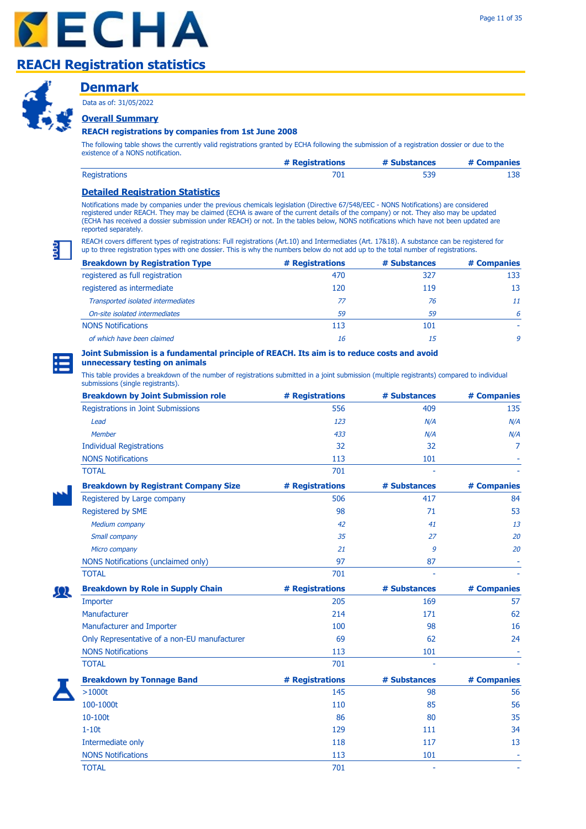



### **Denmark**

Data as of: 31/05/2022

### **Overall Summary**

### **REACH registrations by companies from 1st June 2008**

The following table shows the currently valid registrations granted by ECHA following the submission of a registration dossier or due to the existence of a NONS notification.

|                      | # Registrations | # Substances | # Companies |
|----------------------|-----------------|--------------|-------------|
| <b>Registrations</b> | 701             | 539          | 138.        |

### **Detailed Registration Statistics**

Notifications made by companies under the previous chemicals legislation (Directive 67/548/EEC - NONS Notifications) are considered registered under REACH. They may be claimed (ECHA is aware of the current details of the company) or not. They also may be updated (ECHA has received a dossier submission under REACH) or not. In the tables below, NONS notifications which have not been updated are reported separately.

REACH covers different types of registrations: Full registrations (Art.10) and Intermediates (Art. 17&18). A substance can be registered for up to three registration types with one dossier. This is why the numbers below do not add up to the total number of registrations.

| <b>Breakdown by Registration Type</b> | # Registrations | # Substances | # Companies |
|---------------------------------------|-----------------|--------------|-------------|
| registered as full registration       | 470             | 327          | 133         |
| registered as intermediate            | 120             | 119          | 13          |
| Transported isolated intermediates    | 77              | 76           | 11          |
| On-site isolated intermediates        | 59              | 59           | 6           |
| <b>NONS Notifications</b>             | 113             | 101          |             |
| of which have been claimed            | 16              | 15           | 9           |

#### **Joint Submission is a fundamental principle of REACH. Its aim is to reduce costs and avoid unnecessary testing on animals**

| <b>Breakdown by Joint Submission role</b>    | # Registrations | # Substances | # Companies |
|----------------------------------------------|-----------------|--------------|-------------|
| Registrations in Joint Submissions           | 556             | 409          | 135         |
| Lead                                         | 123             | N/A          | N/A         |
| <b>Member</b>                                | 433             | N/A          | N/A         |
| <b>Individual Registrations</b>              | 32              | 32           | 7           |
| <b>NONS Notifications</b>                    | 113             | 101          |             |
| <b>TOTAL</b>                                 | 701             |              |             |
| <b>Breakdown by Registrant Company Size</b>  | # Registrations | # Substances | # Companies |
| Registered by Large company                  | 506             | 417          | 84          |
| Registered by SME                            | 98              | 71           | 53          |
| Medium company                               | 42              | 41           | 13          |
| Small company                                | 35              | 27           | 20          |
| Micro company                                | 21              | 9            | 20          |
| NONS Notifications (unclaimed only)          | 97              | 87           |             |
| <b>TOTAL</b>                                 | 701             |              |             |
| <b>Breakdown by Role in Supply Chain</b>     | # Registrations | # Substances | # Companies |
| Importer                                     | 205             | 169          | 57          |
| Manufacturer                                 | 214             | 171          | 62          |
| Manufacturer and Importer                    | 100             | 98           | 16          |
| Only Representative of a non-EU manufacturer | 69              | 62           | 24          |
| <b>NONS Notifications</b>                    | 113             | 101          |             |
| <b>TOTAL</b>                                 | 701             |              |             |
| <b>Breakdown by Tonnage Band</b>             | # Registrations | # Substances | # Companies |
| >1000t                                       | 145             | 98           | 56          |
| 100-1000t                                    | 110             | 85           | 56          |
| 10-100t                                      | 86              | 80           | 35          |
| $1-10t$                                      | 129             | 111          | 34          |
| Intermediate only                            | 118             | 117          | 13          |
| <b>NONS Notifications</b>                    | 113             | 101          |             |
| <b>TOTAL</b>                                 | 701             |              |             |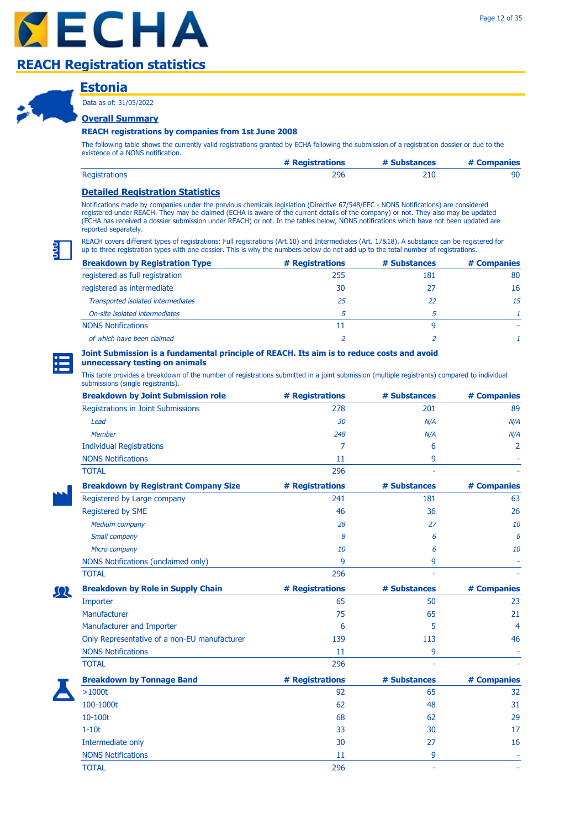### **Estonia**

Data as of: 31/05/2022

### **Overall Summary**

#### **REACH registrations by companies from 1st June 2008**

The following table shows the currently valid registrations granted by ECHA following the submission of a registration dossier or due to the existence of a NONS notification.

|                      | # Registrations | # Substances | # Companies |
|----------------------|-----------------|--------------|-------------|
| <b>Registrations</b> | 296             |              |             |

### **Detailed Registration Statistics**

Notifications made by companies under the previous chemicals legislation (Directive 67/548/EEC - NONS Notifications) are considered registered under REACH. They may be claimed (ECHA is aware of the current details of the company) or not. They also may be updated (ECHA has received a dossier submission under REACH) or not. In the tables below, NONS notifications which have not been updated are reported separately.

REACH covers different types of registrations: Full registrations (Art.10) and Intermediates (Art. 17&18). A substance can be registered for up to three registration types with one dossier. This is why the numbers below do not add up to the total number of registrations.

| <b>Breakdown by Registration Type</b> | # Registrations | # Substances | # Companies |
|---------------------------------------|-----------------|--------------|-------------|
| registered as full registration       | 255             | 181          | 80          |
| registered as intermediate            | 30              |              | 16          |
| Transported isolated intermediates    | 25              | 22           | 15          |
| On-site isolated intermediates        |                 |              |             |
| <b>NONS Notifications</b>             | 11              |              |             |
| of which have been claimed            |                 |              |             |

### **Joint Submission is a fundamental principle of REACH. Its aim is to reduce costs and avoid**

### **unnecessary testing on animals**

| <b>Breakdown by Joint Submission role</b>    | # Registrations | # Substances | # Companies |
|----------------------------------------------|-----------------|--------------|-------------|
| <b>Registrations in Joint Submissions</b>    | 278             | 201          | 89          |
| Lead                                         | 30              | N/A          | N/A         |
| Member                                       | 248             | N/A          | N/A         |
| <b>Individual Registrations</b>              | 7               | 6            | 2           |
| <b>NONS Notifications</b>                    | 11              | 9            |             |
| <b>TOTAL</b>                                 | 296             |              |             |
| <b>Breakdown by Registrant Company Size</b>  | # Registrations | # Substances | # Companies |
| Registered by Large company                  | 241             | 181          | 63          |
| Registered by SME                            | 46              | 36           | 26          |
| <b>Medium company</b>                        | 28              | 27           | 10          |
| Small company                                | 8               | 6            | 6           |
| Micro company                                | 10              | 6            | 10          |
| NONS Notifications (unclaimed only)          | 9               | 9            |             |
| <b>TOTAL</b>                                 | 296             |              |             |
| <b>Breakdown by Role in Supply Chain</b>     | # Registrations | # Substances | # Companies |
| Importer                                     | 65              | 50           | 23          |
| Manufacturer                                 | 75              | 65           | 21          |
| Manufacturer and Importer                    | 6               | 5            | 4           |
| Only Representative of a non-EU manufacturer | 139             | 113          | 46          |
| <b>NONS Notifications</b>                    | 11              | 9            |             |
| <b>TOTAL</b>                                 | 296             |              |             |
| <b>Breakdown by Tonnage Band</b>             | # Registrations | # Substances | # Companies |
| $>1000t$                                     | 92              | 65           | 32          |
| 100-1000t                                    | 62              | 48           | 31          |
| 10-100t                                      | 68              | 62           | 29          |
| $1-10t$                                      | 33              | 30           | 17          |
| Intermediate only                            | 30              | 27           | 16          |
| <b>NONS Notifications</b>                    | 11              | 9            |             |
| <b>TOTAL</b>                                 | 296             |              |             |

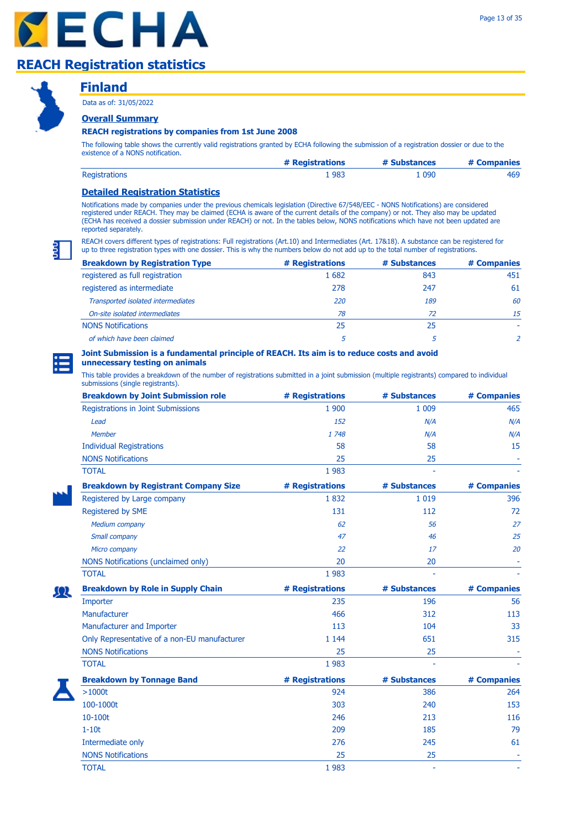



### **Finland**

Data as of: 31/05/2022

### **Overall Summary**

### **REACH registrations by companies from 1st June 2008**

The following table shows the currently valid registrations granted by ECHA following the submission of a registration dossier or due to the existence of a NONS notification.

|                      | # Registrations | # Substances | # Companies |
|----------------------|-----------------|--------------|-------------|
| <b>Registrations</b> | 983             | 090          | 469         |

### **Detailed Registration Statistics**

Notifications made by companies under the previous chemicals legislation (Directive 67/548/EEC - NONS Notifications) are considered registered under REACH. They may be claimed (ECHA is aware of the current details of the company) or not. They also may be updated (ECHA has received a dossier submission under REACH) or not. In the tables below, NONS notifications which have not been updated are reported separately.

REACH covers different types of registrations: Full registrations (Art.10) and Intermediates (Art. 17&18). A substance can be registered for up to three registration types with one dossier. This is why the numbers below do not add up to the total number of registrations.

| <b>Breakdown by Registration Type</b> | # Registrations | # Substances | # Companies |
|---------------------------------------|-----------------|--------------|-------------|
| registered as full registration       | 1682            | 843          | 451         |
| registered as intermediate            | 278             | 247          | 61          |
| Transported isolated intermediates    | 220             | 189          | 60          |
| On-site isolated intermediates        | 78              | 72           | 15          |
| <b>NONS Notifications</b>             | 25              | 25           |             |
| of which have been claimed            |                 |              |             |

# **Joint Submission is a fundamental principle of REACH. Its aim is to reduce costs and avoid**

### **unnecessary testing on animals**

| <b>Breakdown by Joint Submission role</b>    | # Registrations | # Substances | # Companies |
|----------------------------------------------|-----------------|--------------|-------------|
| Registrations in Joint Submissions           | 1 900           | 1 0 0 9      | 465         |
| Lead                                         | 152             | N/A          | N/A         |
| <b>Member</b>                                | 1748            | N/A          | N/A         |
| <b>Individual Registrations</b>              | 58              | 58           | 15          |
| <b>NONS Notifications</b>                    | 25              | 25           |             |
| <b>TOTAL</b>                                 | 1983            |              |             |
| <b>Breakdown by Registrant Company Size</b>  | # Registrations | # Substances | # Companies |
| Registered by Large company                  | 1832            | 1 0 1 9      | 396         |
| Registered by SME                            | 131             | 112          | 72          |
| Medium company                               | 62              | 56           | 27          |
| Small company                                | 47              | 46           | 25          |
| Micro company                                | 22              | 17           | 20          |
| NONS Notifications (unclaimed only)          | 20              | 20           |             |
| <b>TOTAL</b>                                 | 1983            |              |             |
| <b>Breakdown by Role in Supply Chain</b>     | # Registrations | # Substances | # Companies |
| Importer                                     | 235             | 196          | 56          |
| Manufacturer                                 | 466             | 312          | 113         |
| Manufacturer and Importer                    | 113             | 104          | 33          |
| Only Representative of a non-EU manufacturer | 1 1 4 4         | 651          | 315         |
| <b>NONS Notifications</b>                    | 25              | 25           |             |
| <b>TOTAL</b>                                 | 1983            |              |             |
| <b>Breakdown by Tonnage Band</b>             | # Registrations | # Substances | # Companies |
| $>1000t$                                     | 924             | 386          | 264         |
| 100-1000t                                    | 303             | 240          | 153         |
| 10-100t                                      | 246             | 213          | 116         |
| $1-10t$                                      | 209             | 185          | 79          |
| Intermediate only                            | 276             | 245          | 61          |
| <b>NONS Notifications</b>                    | 25              | 25           |             |
| <b>TOTAL</b>                                 | 1 9 8 3         | ä,           |             |

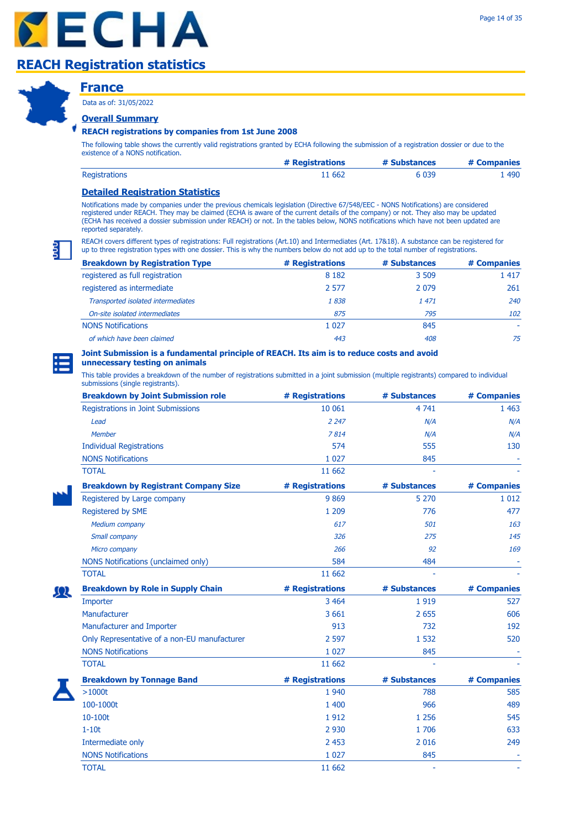

### **France**

Data as of: 31/05/2022

### **Overall Summary**

### **REACH registrations by companies from 1st June 2008**

The following table shows the currently valid registrations granted by ECHA following the submission of a registration dossier or due to the existence of a NONS notification.

|                      | # Registrations | # Substances | # Companies |
|----------------------|-----------------|--------------|-------------|
| <b>Registrations</b> | 11 662          | 6 0 3 9      | 490         |

### **Detailed Registration Statistics**

Notifications made by companies under the previous chemicals legislation (Directive 67/548/EEC - NONS Notifications) are considered registered under REACH. They may be claimed (ECHA is aware of the current details of the company) or not. They also may be updated (ECHA has received a dossier submission under REACH) or not. In the tables below, NONS notifications which have not been updated are reported separately.

REACH covers different types of registrations: Full registrations (Art.10) and Intermediates (Art. 17&18). A substance can be registered for up to three registration types with one dossier. This is why the numbers below do not add up to the total number of registrations.

| <b>Breakdown by Registration Type</b> | # Registrations | # Substances | # Companies |
|---------------------------------------|-----------------|--------------|-------------|
| registered as full registration       | 8 1 8 2         | 3 509        | 1 4 1 7     |
| registered as intermediate            | 2.577           | 2 0 7 9      | 261         |
| Transported isolated intermediates    | 1838            | 1 471        | 240         |
| On-site isolated intermediates        | 875             | 795          | 102         |
| <b>NONS Notifications</b>             | 1 0 2 7         | 845          |             |
| of which have been claimed            | 443             | 408          | 75          |

#### **Joint Submission is a fundamental principle of REACH. Its aim is to reduce costs and avoid unnecessary testing on animals**

This table provides a breakdown of the number of registrations submitted in a joint submission (multiple registrants) compared to individual

| submissions (single registrants).            |                 |              |             |
|----------------------------------------------|-----------------|--------------|-------------|
| <b>Breakdown by Joint Submission role</b>    | # Registrations | # Substances | # Companies |
| Registrations in Joint Submissions           | 10 061          | 4741         | 1 4 6 3     |
| Lead                                         | 2 2 4 7         | N/A          | N/A         |
| <b>Member</b>                                | 7814            | N/A          | N/A         |
| <b>Individual Registrations</b>              | 574             | 555          | 130         |
| <b>NONS Notifications</b>                    | 1 0 2 7         | 845          |             |
| <b>TOTAL</b>                                 | 11 662          |              |             |
| <b>Breakdown by Registrant Company Size</b>  | # Registrations | # Substances | # Companies |
| Registered by Large company                  | 9869            | 5 2 7 0      | 1 0 1 2     |
| Registered by SME                            | 1 2 0 9         | 776          | 477         |
| <b>Medium company</b>                        | 617             | 501          | 163         |
| Small company                                | 326             | 275          | 145         |
| Micro company                                | 266             | 92           | 169         |
| NONS Notifications (unclaimed only)          | 584             | 484          |             |
| <b>TOTAL</b>                                 | 11 662          |              |             |
| <b>Breakdown by Role in Supply Chain</b>     | # Registrations | # Substances | # Companies |
| Importer                                     | 3 4 6 4         | 1919         | 527         |
| Manufacturer                                 | 3 6 6 1         | 2 6 5 5      | 606         |
| Manufacturer and Importer                    | 913             | 732          | 192         |
| Only Representative of a non-EU manufacturer | 2 5 9 7         | 1 5 3 2      | 520         |
| <b>NONS Notifications</b>                    | 1 0 27          | 845          |             |
| <b>TOTAL</b>                                 | 11 662          |              |             |
| <b>Breakdown by Tonnage Band</b>             | # Registrations | # Substances | # Companies |
| $>1000t$                                     | 1 9 4 0         | 788          | 585         |
| 100-1000t                                    | 1 400           | 966          | 489         |
| 10-100t                                      | 1912            | 1 2 5 6      | 545         |
| $1-10t$                                      | 2 9 3 0         | 1706         | 633         |
| Intermediate only                            | 2 4 5 3         | 2 0 1 6      | 249         |
| <b>NONS Notifications</b>                    | 1 0 2 7         | 845          |             |
| <b>TOTAL</b>                                 | 11 662          | L            |             |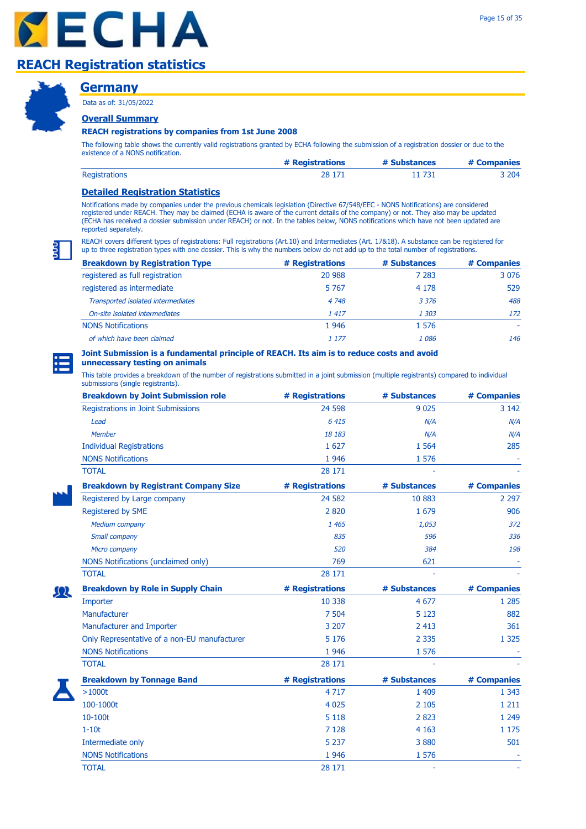### **Germany**

Data as of: 31/05/2022

### **Overall Summary**

### **REACH registrations by companies from 1st June 2008**

The following table shows the currently valid registrations granted by ECHA following the submission of a registration dossier or due to the existence of a NONS notification.

|                      | # Registrations | # Substances | # Companies |
|----------------------|-----------------|--------------|-------------|
| <b>Registrations</b> | 28 171          | 11 731       | 3 204       |

### **Detailed Registration Statistics**

Notifications made by companies under the previous chemicals legislation (Directive 67/548/EEC - NONS Notifications) are considered registered under REACH. They may be claimed (ECHA is aware of the current details of the company) or not. They also may be updated (ECHA has received a dossier submission under REACH) or not. In the tables below, NONS notifications which have not been updated are reported separately.

REACH covers different types of registrations: Full registrations (Art.10) and Intermediates (Art. 17&18). A substance can be registered for up to three registration types with one dossier. This is why the numbers below do not add up to the total number of registrations.

| <b>Breakdown by Registration Type</b> | # Registrations | # Substances | # Companies |
|---------------------------------------|-----------------|--------------|-------------|
| registered as full registration       | 20 988          | 7 283        | 3 0 7 6     |
| registered as intermediate            | 5 7 6 7         | 4 1 7 8      | 529         |
| Transported isolated intermediates    | 4 7 4 8         | 3 3 7 6      | 488         |
| On-site isolated intermediates        | 1417            | 1 303        | 172         |
| <b>NONS Notifications</b>             | 1946            | 1 576        |             |
| of which have been claimed            | 1 1 7 7         | 1086         | 146         |

#### **Joint Submission is a fundamental principle of REACH. Its aim is to reduce costs and avoid unnecessary testing on animals**

| <b>Breakdown by Joint Submission role</b>    | # Registrations | # Substances | # Companies |
|----------------------------------------------|-----------------|--------------|-------------|
| Registrations in Joint Submissions           | 24 5 98         | 9 0 2 5      | 3 1 4 2     |
| Lead                                         | 6 415           | N/A          | N/A         |
| <b>Member</b>                                | 18 183          | N/A          | N/A         |
| <b>Individual Registrations</b>              | 1 6 2 7         | 1 5 6 4      | 285         |
| <b>NONS Notifications</b>                    | 1 9 4 6         | 1 576        |             |
| <b>TOTAL</b>                                 | 28 17 1         |              |             |
| <b>Breakdown by Registrant Company Size</b>  | # Registrations | # Substances | # Companies |
| Registered by Large company                  | 24 5 82         | 10 883       | 2 2 9 7     |
| Registered by SME                            | 2820            | 1 679        | 906         |
| <b>Medium company</b>                        | 1 4 6 5         | 1,053        | 372         |
| Small company                                | 835             | 596          | 336         |
| Micro company                                | 520             | 384          | 198         |
| NONS Notifications (unclaimed only)          | 769             | 621          |             |
| <b>TOTAL</b>                                 | 28 17 1         |              |             |
| <b>Breakdown by Role in Supply Chain</b>     | # Registrations | # Substances | # Companies |
| Importer                                     | 10 3 38         | 4 6 7 7      | 1 2 8 5     |
| Manufacturer                                 | 7 504           | 5 1 2 3      | 882         |
| Manufacturer and Importer                    | 3 2 0 7         | 2 4 1 3      | 361         |
| Only Representative of a non-EU manufacturer | 5 1 7 6         | 2 3 3 5      | 1 3 2 5     |
| <b>NONS Notifications</b>                    | 1 9 4 6         | 1 576        |             |
| <b>TOTAL</b>                                 | 28 17 1         |              |             |
| <b>Breakdown by Tonnage Band</b>             | # Registrations | # Substances | # Companies |
| $>1000t$                                     | 4 7 1 7         | 1 4 0 9      | 1 3 4 3     |
| 100-1000t                                    | 4 0 2 5         | 2 1 0 5      | 1 2 1 1     |
| 10-100t                                      | 5 1 1 8         | 2 8 2 3      | 1 2 4 9     |
| $1-10t$                                      | 7 1 28          | 4 1 6 3      | 1 1 7 5     |
| Intermediate only                            | 5 2 3 7         | 3880         | 501         |
| <b>NONS Notifications</b>                    | 1 9 4 6         | 1 576        |             |
| <b>TOTAL</b>                                 | 28 17 1         |              |             |

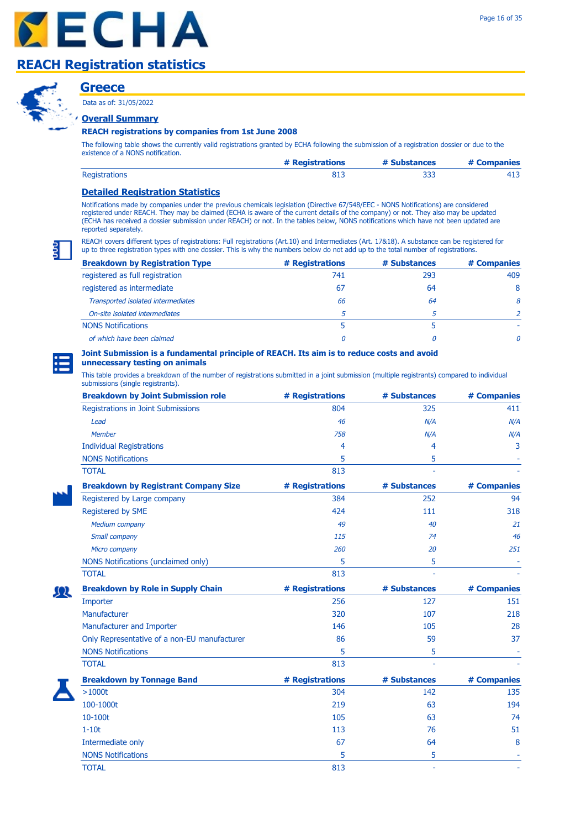**Greece**

**Overall Summary**

Data as of: 31/05/2022

### **REACH registrations by companies from 1st June 2008**

The following table shows the currently valid registrations granted by ECHA following the submission of a registration dossier or due to the existence of a NONS notification.

|                      | # Registrations | # Substances | # Companies |
|----------------------|-----------------|--------------|-------------|
| <b>Registrations</b> | -813            |              |             |

### **Detailed Registration Statistics**

Notifications made by companies under the previous chemicals legislation (Directive 67/548/EEC - NONS Notifications) are considered registered under REACH. They may be claimed (ECHA is aware of the current details of the company) or not. They also may be updated (ECHA has received a dossier submission under REACH) or not. In the tables below, NONS notifications which have not been updated are reported separately.

REACH covers different types of registrations: Full registrations (Art.10) and Intermediates (Art. 17&18). A substance can be registered for up to three registration types with one dossier. This is why the numbers below do not add up to the total number of registrations.

| <b>Breakdown by Registration Type</b> | # Registrations | # Substances | # Companies  |
|---------------------------------------|-----------------|--------------|--------------|
| registered as full registration       | 741             | 293          | 409          |
| registered as intermediate            | 67              | 64           | 8            |
| Transported isolated intermediates    | 66              | 64           | 8            |
| On-site isolated intermediates        |                 |              |              |
| <b>NONS Notifications</b>             |                 |              |              |
| of which have been claimed            | 0               |              | <sup>n</sup> |

# **Joint Submission is a fundamental principle of REACH. Its aim is to reduce costs and avoid**

### **unnecessary testing on animals**

| <b>Breakdown by Joint Submission role</b>    | # Registrations | # Substances | # Companies |
|----------------------------------------------|-----------------|--------------|-------------|
| <b>Registrations in Joint Submissions</b>    | 804             | 325          | 411         |
| Lead                                         | 46              | N/A          | N/A         |
| <b>Member</b>                                | 758             | N/A          | N/A         |
| <b>Individual Registrations</b>              | 4               | 4            | 3           |
| <b>NONS Notifications</b>                    | 5               | 5            |             |
| <b>TOTAL</b>                                 | 813             |              |             |
| <b>Breakdown by Registrant Company Size</b>  | # Registrations | # Substances | # Companies |
| Registered by Large company                  | 384             | 252          | 94          |
| Registered by SME                            | 424             | 111          | 318         |
| <b>Medium company</b>                        | 49              | 40           | 21          |
| Small company                                | 115             | 74           | 46          |
| Micro company                                | 260             | 20           | 251         |
| NONS Notifications (unclaimed only)          | 5               | 5            |             |
| <b>TOTAL</b>                                 | 813             |              |             |
| <b>Breakdown by Role in Supply Chain</b>     | # Registrations | # Substances | # Companies |
| Importer                                     | 256             | 127          | 151         |
| Manufacturer                                 | 320             | 107          | 218         |
| Manufacturer and Importer                    | 146             | 105          | 28          |
| Only Representative of a non-EU manufacturer | 86              | 59           | 37          |
| <b>NONS Notifications</b>                    | 5               | 5            |             |
| <b>TOTAL</b>                                 | 813             |              |             |
| <b>Breakdown by Tonnage Band</b>             | # Registrations | # Substances | # Companies |
| $>1000t$                                     | 304             | 142          | 135         |
| 100-1000t                                    | 219             | 63           | 194         |
| 10-100t                                      | 105             | 63           | 74          |
| $1-10t$                                      | 113             | 76           | 51          |
| Intermediate only                            | 67              | 64           | 8           |
| <b>NONS Notifications</b>                    | 5               | 5            |             |
| <b>TOTAL</b>                                 | 813             | ä,           |             |

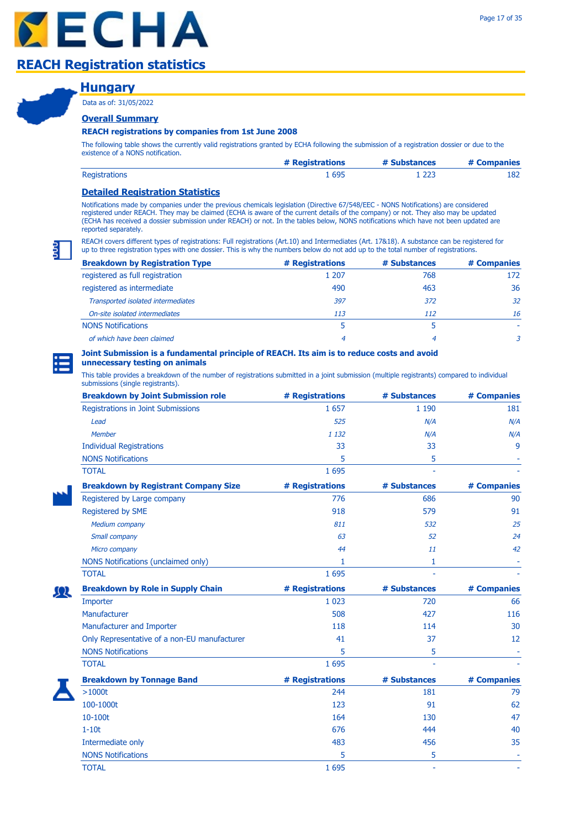### **Hungary**

Data as of: 31/05/2022

### **Overall Summary**

### **REACH registrations by companies from 1st June 2008**

The following table shows the currently valid registrations granted by ECHA following the submission of a registration dossier or due to the existence of a NONS notification.

|                      | # Registrations | # Substances | # Companies |
|----------------------|-----------------|--------------|-------------|
| <b>Registrations</b> | 695             | - 223        | 182         |

### **Detailed Registration Statistics**

Notifications made by companies under the previous chemicals legislation (Directive 67/548/EEC - NONS Notifications) are considered registered under REACH. They may be claimed (ECHA is aware of the current details of the company) or not. They also may be updated (ECHA has received a dossier submission under REACH) or not. In the tables below, NONS notifications which have not been updated are reported separately.

REACH covers different types of registrations: Full registrations (Art.10) and Intermediates (Art. 17&18). A substance can be registered for up to three registration types with one dossier. This is why the numbers below do not add up to the total number of registrations.

| <b>Breakdown by Registration Type</b> | # Registrations | # Substances | # Companies |
|---------------------------------------|-----------------|--------------|-------------|
| registered as full registration       | 1 207           | 768          | 172         |
| registered as intermediate            | 490             | 463          | 36          |
| Transported isolated intermediates    | 397             | 372          | 32          |
| On-site isolated intermediates        | 113             | 112          | 16          |
| <b>NONS Notifications</b>             |                 |              |             |
| of which have been claimed            | 4               | 4            |             |

# **Joint Submission is a fundamental principle of REACH. Its aim is to reduce costs and avoid**

### **unnecessary testing on animals**

| <b>Breakdown by Joint Submission role</b>    | # Registrations | # Substances | # Companies |
|----------------------------------------------|-----------------|--------------|-------------|
| Registrations in Joint Submissions           | 1 6 5 7         | 1 1 9 0      | 181         |
| Lead                                         | 525             | N/A          | N/A         |
| <b>Member</b>                                | 1 1 3 2         | N/A          | N/A         |
| <b>Individual Registrations</b>              | 33              | 33           | 9           |
| <b>NONS Notifications</b>                    | 5               | 5            |             |
| <b>TOTAL</b>                                 | 1 6 9 5         |              |             |
| <b>Breakdown by Registrant Company Size</b>  | # Registrations | # Substances | # Companies |
| Registered by Large company                  | 776             | 686          | 90          |
| Registered by SME                            | 918             | 579          | 91          |
| <b>Medium company</b>                        | 811             | 532          | 25          |
| Small company                                | 63              | 52           | 24          |
| Micro company                                | 44              | 11           | 42          |
| NONS Notifications (unclaimed only)          | 1               | 1            |             |
| <b>TOTAL</b>                                 | 1 6 9 5         |              |             |
| <b>Breakdown by Role in Supply Chain</b>     | # Registrations | # Substances | # Companies |
| Importer                                     | 1 0 2 3         | 720          | 66          |
| Manufacturer                                 | 508             | 427          | 116         |
| Manufacturer and Importer                    | 118             | 114          | 30          |
| Only Representative of a non-EU manufacturer | 41              | 37           | 12          |
| <b>NONS Notifications</b>                    | 5               | 5            |             |
| <b>TOTAL</b>                                 | 1 6 9 5         |              |             |
| <b>Breakdown by Tonnage Band</b>             | # Registrations | # Substances | # Companies |
| >1000t                                       | 244             | 181          | 79          |
| 100-1000t                                    | 123             | 91           | 62          |
| 10-100t                                      | 164             | 130          | 47          |
| $1-10t$                                      | 676             | 444          | 40          |
| Intermediate only                            | 483             | 456          | 35          |
| <b>NONS Notifications</b>                    | 5               | 5            |             |
| <b>TOTAL</b>                                 | 1 6 9 5         | ä,           |             |

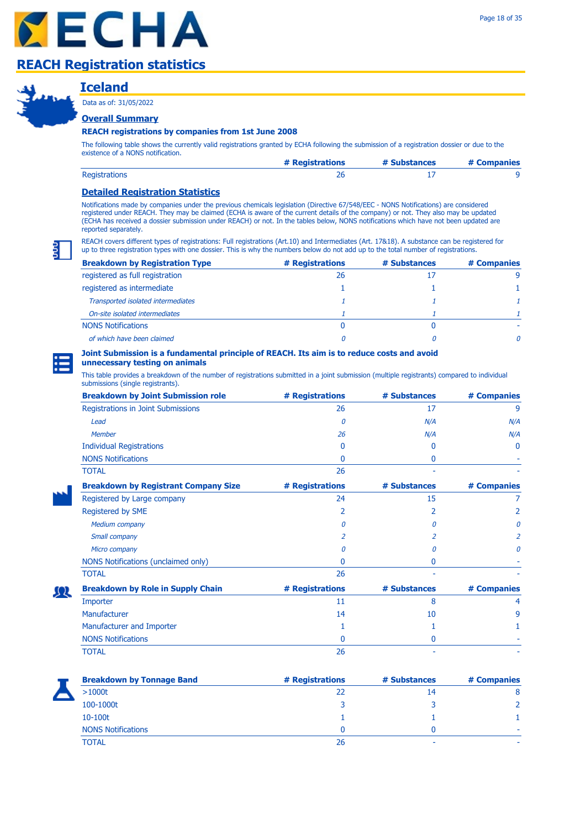

# **Iceland**

Data as of: 31/05/2022

### **Overall Summary**

### **REACH registrations by companies from 1st June 2008**

The following table shows the currently valid registrations granted by ECHA following the submission of a registration dossier or due to the existence of a NONS notification.

|                      | # Registrations | # Substances | # Companies |
|----------------------|-----------------|--------------|-------------|
| <b>Registrations</b> |                 |              |             |

### **Detailed Registration Statistics**

Notifications made by companies under the previous chemicals legislation (Directive 67/548/EEC - NONS Notifications) are considered registered under REACH. They may be claimed (ECHA is aware of the current details of the company) or not. They also may be updated (ECHA has received a dossier submission under REACH) or not. In the tables below, NONS notifications which have not been updated are reported separately.

REACH covers different types of registrations: Full registrations (Art.10) and Intermediates (Art. 17&18). A substance can be registered for up to three registration types with one dossier. This is why the numbers below do not add up to the total number of registrations.

| <b>Breakdown by Registration Type</b> | # Registrations | # Substances | # Companies  |
|---------------------------------------|-----------------|--------------|--------------|
| registered as full registration       | 26              |              | q            |
| registered as intermediate            |                 |              |              |
| Transported isolated intermediates    |                 |              |              |
| On-site isolated intermediates        |                 |              |              |
| <b>NONS Notifications</b>             |                 |              |              |
| of which have been claimed            |                 |              | <sup>n</sup> |

#### **Joint Submission is a fundamental principle of REACH. Its aim is to reduce costs and avoid unnecessary testing on animals**

This table provides a breakdown of the number of registrations submitted in a joint submission (multiple registrants) compared to individual submissions (single registrants).

| <b>Breakdown by Joint Submission role</b>   | # Registrations | # Substances | # Companies |
|---------------------------------------------|-----------------|--------------|-------------|
| Registrations in Joint Submissions          | 26              | 17           | 9           |
| Lead                                        | n               | N/A          | N/A         |
| <b>Member</b>                               | 26              | N/A          | N/A         |
| <b>Individual Registrations</b>             | 0               | $\Omega$     | 0           |
| <b>NONS Notifications</b>                   | 0               | 0            |             |
| <b>TOTAL</b>                                | 26              |              |             |
| <b>Breakdown by Registrant Company Size</b> | # Registrations | # Substances | # Companies |
| Registered by Large company                 | 24              | 15           |             |
| Registered by SME                           | 2               | 2            |             |
| <b>Medium company</b>                       | n               | n            | n           |
| Small company                               |                 |              |             |
| Micro company                               |                 | Π            | n           |
| NONS Notifications (unclaimed only)         | 0               | 0            |             |
| <b>TOTAL</b>                                | 26              |              |             |
| <b>Breakdown by Role in Supply Chain</b>    | # Registrations | # Substances | # Companies |
| Importer                                    | 11              | 8            | 4           |
| Manufacturer                                | 14              | 10           | 9           |
| Manufacturer and Importer                   | 1               |              |             |
| <b>NONS Notifications</b>                   | n               | $\bf{0}$     |             |
| <b>TOTAL</b>                                | 26              |              |             |
|                                             |                 |              |             |

Ωl

| <b>Breakdown by Tonnage Band</b> | # Registrations | # Substances | # Companies |
|----------------------------------|-----------------|--------------|-------------|
| >1000t                           | 22              | 14           | 8           |
| 100-1000t                        |                 |              |             |
| 10-100t                          |                 |              |             |
| <b>NONS Notifications</b>        |                 |              |             |
| <b>TOTAL</b>                     | 26              |              |             |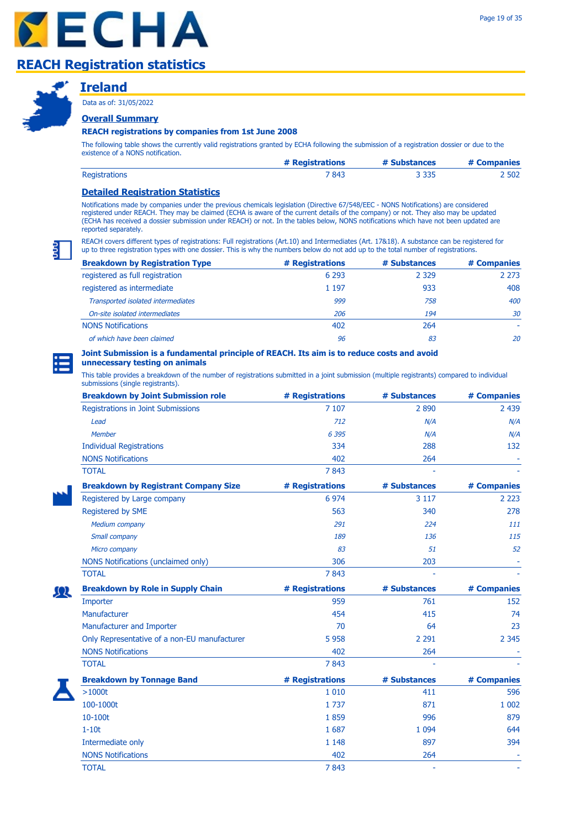



### **Ireland**

Data as of: 31/05/2022

### **Overall Summary**

#### **REACH registrations by companies from 1st June 2008**

The following table shows the currently valid registrations granted by ECHA following the submission of a registration dossier or due to the existence of a NONS notification.

|                      | # Registrations | # Substances | # Companies |
|----------------------|-----------------|--------------|-------------|
| <b>Registrations</b> | 7 843           | 3 3 3 5      | .502        |

### **Detailed Registration Statistics**

Notifications made by companies under the previous chemicals legislation (Directive 67/548/EEC - NONS Notifications) are considered registered under REACH. They may be claimed (ECHA is aware of the current details of the company) or not. They also may be updated (ECHA has received a dossier submission under REACH) or not. In the tables below, NONS notifications which have not been updated are reported separately.

REACH covers different types of registrations: Full registrations (Art.10) and Intermediates (Art. 17&18). A substance can be registered for up to three registration types with one dossier. This is why the numbers below do not add up to the total number of registrations.

| <b>Breakdown by Registration Type</b> | # Registrations | # Substances | # Companies |
|---------------------------------------|-----------------|--------------|-------------|
| registered as full registration       | 6 2 9 3         | 2 3 2 9      | 2 2 7 3     |
| registered as intermediate            | 1 197           | 933          | 408         |
| Transported isolated intermediates    | 999             | 758          | 400         |
| On-site isolated intermediates        | 206             | 194          | 30          |
| <b>NONS Notifications</b>             | 402             | 264          |             |
| of which have been claimed            | 96              | 83           | 20          |

# **Joint Submission is a fundamental principle of REACH. Its aim is to reduce costs and avoid**

### **unnecessary testing on animals**

| <b>Breakdown by Joint Submission role</b>    | # Registrations | # Substances | # Companies |
|----------------------------------------------|-----------------|--------------|-------------|
| Registrations in Joint Submissions           | 7 107           | 2890         | 2 4 3 9     |
| Lead                                         | 712             | N/A          | N/A         |
| Member                                       | 6 3 9 5         | N/A          | N/A         |
| <b>Individual Registrations</b>              | 334             | 288          | 132         |
| <b>NONS Notifications</b>                    | 402             | 264          |             |
| <b>TOTAL</b>                                 | 7843            |              |             |
| <b>Breakdown by Registrant Company Size</b>  | # Registrations | # Substances | # Companies |
| Registered by Large company                  | 6 9 7 4         | 3 1 1 7      | 2 2 2 3     |
| Registered by SME                            | 563             | 340          | 278         |
| <b>Medium company</b>                        | 291             | 224          | 111         |
| Small company                                | 189             | 136          | 115         |
| Micro company                                | 83              | 51           | 52          |
| NONS Notifications (unclaimed only)          | 306             | 203          |             |
| <b>TOTAL</b>                                 | 7843            |              |             |
| <b>Breakdown by Role in Supply Chain</b>     | # Registrations | # Substances | # Companies |
| Importer                                     | 959             | 761          | 152         |
| Manufacturer                                 | 454             | 415          | 74          |
| Manufacturer and Importer                    | 70              | 64           | 23          |
| Only Representative of a non-EU manufacturer | 5 9 5 8         | 2 2 9 1      | 2 3 4 5     |
| <b>NONS Notifications</b>                    | 402             | 264          |             |
| <b>TOTAL</b>                                 | 7843            |              |             |
| <b>Breakdown by Tonnage Band</b>             | # Registrations | # Substances | # Companies |
| $>1000t$                                     | 1 0 1 0         | 411          | 596         |
| 100-1000t                                    | 1737            | 871          | 1 0 0 2     |
| 10-100t                                      | 1859            | 996          | 879         |
| $1-10t$                                      | 1 687           | 1 0 9 4      | 644         |
| Intermediate only                            | 1 1 4 8         | 897          | 394         |
| <b>NONS Notifications</b>                    | 402             | 264          |             |
| <b>TOTAL</b>                                 | 7843            | L,           |             |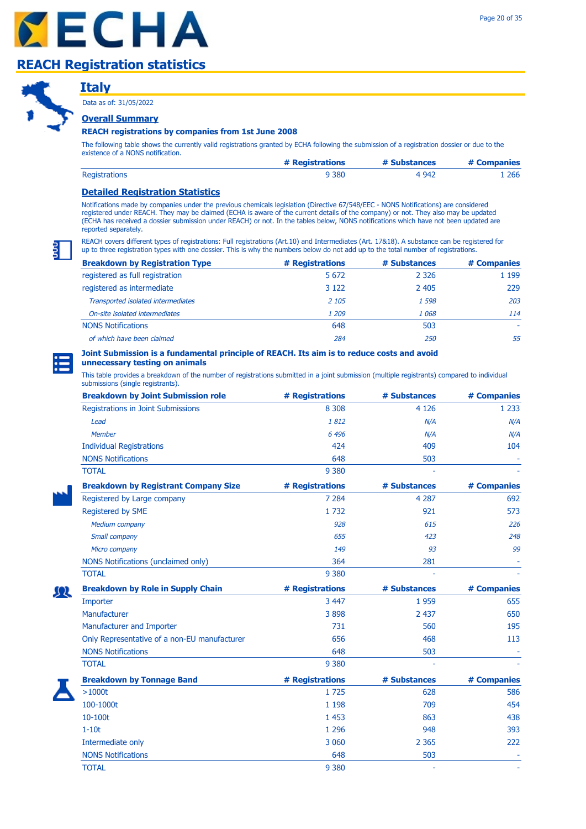

# **Italy**

Data as of: 31/05/2022

### **Overall Summary**

### **REACH registrations by companies from 1st June 2008**

The following table shows the currently valid registrations granted by ECHA following the submission of a registration dossier or due to the existence of a NONS notification.

|                      | # Registrations | # Substances | # Companies |
|----------------------|-----------------|--------------|-------------|
| <b>Registrations</b> | 9 380           | 4 9 4 2      | 266         |

### **Detailed Registration Statistics**

Notifications made by companies under the previous chemicals legislation (Directive 67/548/EEC - NONS Notifications) are considered registered under REACH. They may be claimed (ECHA is aware of the current details of the company) or not. They also may be updated (ECHA has received a dossier submission under REACH) or not. In the tables below, NONS notifications which have not been updated are reported separately.

REACH covers different types of registrations: Full registrations (Art.10) and Intermediates (Art. 17&18). A substance can be registered for up to three registration types with one dossier. This is why the numbers below do not add up to the total number of registrations.

| <b>Breakdown by Registration Type</b> | # Registrations | # Substances | # Companies |
|---------------------------------------|-----------------|--------------|-------------|
| registered as full registration       | 5 6 7 2         | 2 3 2 6      | 1 1 9 9     |
| registered as intermediate            | 3 1 2 2         | 2 4 0 5      | 229         |
| Transported isolated intermediates    | 2 1 0 5         | 1 5 9 8      | 203         |
| On-site isolated intermediates        | 1 209           | 1068         | 114         |
| <b>NONS Notifications</b>             | 648             | 503          |             |
| of which have been claimed            | 284             | 250          | 55          |

#### **Joint Submission is a fundamental principle of REACH. Its aim is to reduce costs and avoid unnecessary testing on animals**

This table provides a breakdown of the number of registrations submitted in a joint submission (multiple registrants) compared to individual

submissions (single registrants).

| <b>Breakdown by Joint Submission role</b>    | # Registrations | # Substances | # Companies |
|----------------------------------------------|-----------------|--------------|-------------|
| Registrations in Joint Submissions           | 8 3 0 8         | 4 1 2 6      | 1 2 3 3     |
| Lead                                         | 1812            | N/A          | N/A         |
| <b>Member</b>                                | 6 4 9 6         | N/A          | N/A         |
| <b>Individual Registrations</b>              | 424             | 409          | 104         |
| <b>NONS Notifications</b>                    | 648             | 503          |             |
| <b>TOTAL</b>                                 | 9 3 8 0         |              |             |
| <b>Breakdown by Registrant Company Size</b>  | # Registrations | # Substances | # Companies |
| Registered by Large company                  | 7 2 8 4         | 4 2 8 7      | 692         |
| Registered by SME                            | 1 7 3 2         | 921          | 573         |
| <b>Medium company</b>                        | 928             | 615          | 226         |
| Small company                                | 655             | 423          | 248         |
| Micro company                                | 149             | 93           | 99          |
| NONS Notifications (unclaimed only)          | 364             | 281          |             |
| <b>TOTAL</b>                                 | 9 3 8 0         |              |             |
| <b>Breakdown by Role in Supply Chain</b>     | # Registrations | # Substances | # Companies |
| Importer                                     | 3 4 4 7         | 1959         | 655         |
| Manufacturer                                 | 3898            | 2 4 3 7      | 650         |
| Manufacturer and Importer                    | 731             | 560          | 195         |
| Only Representative of a non-EU manufacturer | 656             | 468          | 113         |
| <b>NONS Notifications</b>                    | 648             | 503          |             |
| <b>TOTAL</b>                                 | 9 3 8 0         |              |             |
| <b>Breakdown by Tonnage Band</b>             | # Registrations | # Substances | # Companies |
| $>1000t$                                     | 1725            | 628          | 586         |
| 100-1000t                                    | 1 1 9 8         | 709          | 454         |
| 10-100t                                      | 1 4 5 3         | 863          | 438         |
| $1-10t$                                      | 1 2 9 6         | 948          | 393         |
| Intermediate only                            | 3 0 6 0         | 2 3 6 5      | 222         |
| <b>NONS Notifications</b>                    | 648             | 503          |             |
| <b>TOTAL</b>                                 | 9 3 8 0         |              |             |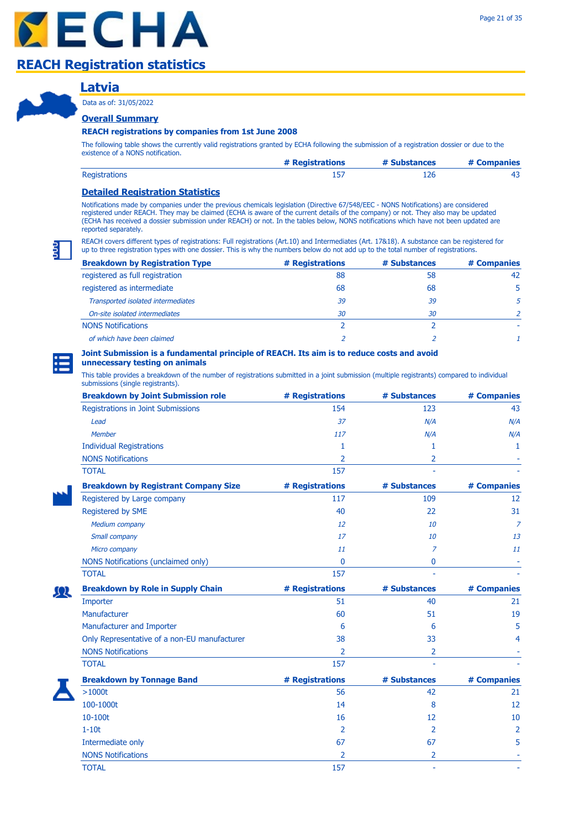### **Latvia**

Data as of: 31/05/2022

### **Overall Summary**

#### **REACH registrations by companies from 1st June 2008**

The following table shows the currently valid registrations granted by ECHA following the submission of a registration dossier or due to the existence of a NONS notification.

|                      | # Registrations | # Substances | # Companies |
|----------------------|-----------------|--------------|-------------|
| <b>Registrations</b> |                 |              |             |

### **Detailed Registration Statistics**

Notifications made by companies under the previous chemicals legislation (Directive 67/548/EEC - NONS Notifications) are considered registered under REACH. They may be claimed (ECHA is aware of the current details of the company) or not. They also may be updated (ECHA has received a dossier submission under REACH) or not. In the tables below, NONS notifications which have not been updated are reported separately.

REACH covers different types of registrations: Full registrations (Art.10) and Intermediates (Art. 17&18). A substance can be registered for up to three registration types with one dossier. This is why the numbers below do not add up to the total number of registrations.

| <b>Breakdown by Registration Type</b> | # Registrations | # Substances | # Companies |
|---------------------------------------|-----------------|--------------|-------------|
| registered as full registration       | 88              | 58           | 42          |
| registered as intermediate            | 68              | 68           | 5           |
| Transported isolated intermediates    | 39              | 39           |             |
| On-site isolated intermediates        | 30              | 30           |             |
| <b>NONS Notifications</b>             |                 |              |             |
| of which have been claimed            |                 |              |             |

### **Joint Submission is a fundamental principle of REACH. Its aim is to reduce costs and avoid**

### **unnecessary testing on animals**

| <b>Breakdown by Joint Submission role</b>    | # Registrations | # Substances   | # Companies     |
|----------------------------------------------|-----------------|----------------|-----------------|
| Registrations in Joint Submissions           | 154             | 123            | 43              |
| Lead                                         | 37              | N/A            | N/A             |
| Member                                       | 117             | N/A            | N/A             |
| <b>Individual Registrations</b>              | 1               | 1              | 1               |
| <b>NONS Notifications</b>                    | $\overline{2}$  | 2              |                 |
| <b>TOTAL</b>                                 | 157             |                |                 |
| <b>Breakdown by Registrant Company Size</b>  | # Registrations | # Substances   | # Companies     |
| Registered by Large company                  | 117             | 109            | 12 <sup>2</sup> |
| Registered by SME                            | 40              | 22             | 31              |
| Medium company                               | 12              | 10             | $\overline{7}$  |
| Small company                                | 17              | 10             | 13              |
| Micro company                                | 11              | 7              | 11              |
| NONS Notifications (unclaimed only)          | $\Omega$        | 0              |                 |
| <b>TOTAL</b>                                 | 157             |                |                 |
| <b>Breakdown by Role in Supply Chain</b>     | # Registrations | # Substances   | # Companies     |
| Importer                                     | 51              | 40             | 21              |
| Manufacturer                                 | 60              | 51             | 19              |
| Manufacturer and Importer                    | 6               | 6              | 5               |
| Only Representative of a non-EU manufacturer | 38              | 33             | 4               |
| <b>NONS Notifications</b>                    | 2               | $\overline{2}$ |                 |
| <b>TOTAL</b>                                 | 157             |                |                 |
| <b>Breakdown by Tonnage Band</b>             | # Registrations | # Substances   | # Companies     |
| >1000t                                       | 56              | 42             | 21              |
| 100-1000t                                    | 14              | 8              | 12              |
| 10-100t                                      | 16              | 12             | 10              |
| $1-10t$                                      | 2               | $\overline{2}$ | 2               |
| Intermediate only                            | 67              | 67             | 5               |
| <b>NONS Notifications</b>                    | 2               | 2              |                 |
| <b>TOTAL</b>                                 | 157             | ÷.             |                 |

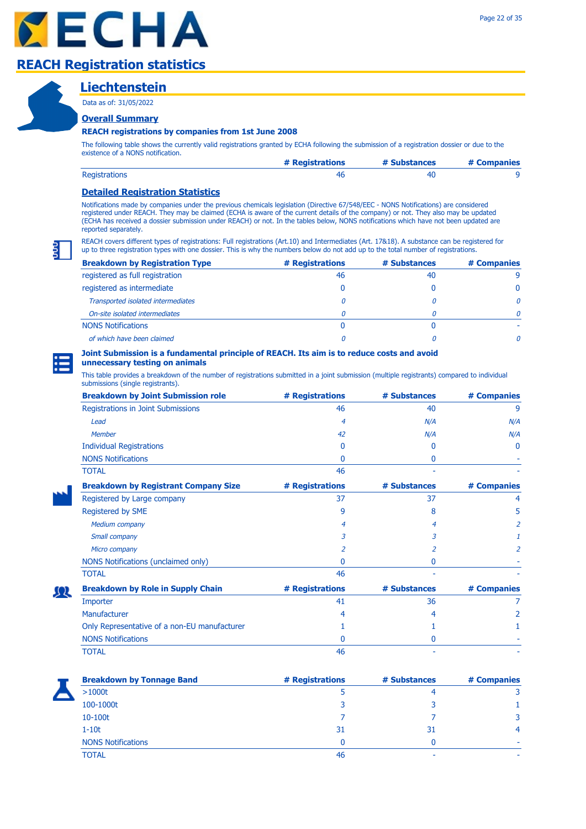

### **Liechtenstein**

Data as of: 31/05/2022

### **Overall Summary**

#### **REACH registrations by companies from 1st June 2008**

The following table shows the currently valid registrations granted by ECHA following the submission of a registration dossier or due to the existence of a NONS notification.

|                      | # Registrations | # Substances | # Companies |
|----------------------|-----------------|--------------|-------------|
| <b>Registrations</b> |                 |              |             |

### **Detailed Registration Statistics**

Notifications made by companies under the previous chemicals legislation (Directive 67/548/EEC - NONS Notifications) are considered registered under REACH. They may be claimed (ECHA is aware of the current details of the company) or not. They also may be updated (ECHA has received a dossier submission under REACH) or not. In the tables below, NONS notifications which have not been updated are reported separately.

REACH covers different types of registrations: Full registrations (Art.10) and Intermediates (Art. 17&18). A substance can be registered for up to three registration types with one dossier. This is why the numbers below do not add up to the total number of registrations.

| <b>Breakdown by Registration Type</b> | # Registrations | # Substances | # Companies  |
|---------------------------------------|-----------------|--------------|--------------|
| registered as full registration       | 46              | 40           | q            |
| registered as intermediate            |                 |              |              |
| Transported isolated intermediates    |                 |              | <sup>n</sup> |
| On-site isolated intermediates        |                 |              | Ω            |
| <b>NONS Notifications</b>             |                 |              |              |
| of which have been claimed            |                 |              | n            |

#### **Joint Submission is a fundamental principle of REACH. Its aim is to reduce costs and avoid unnecessary testing on animals**

This table provides a breakdown of the number of registrations submitted in a joint submission (multiple registrants) compared to individual submissions (single registrants).

| <b>Breakdown by Joint Submission role</b>    | # Registrations | # Substances | # Companies |
|----------------------------------------------|-----------------|--------------|-------------|
| Registrations in Joint Submissions           | 46              | 40           | 9           |
| Lead                                         | 4               | N/A          | N/A         |
| <b>Member</b>                                | 42              | N/A          | N/A         |
| <b>Individual Registrations</b>              | 0               | 0            | $\Omega$    |
| <b>NONS Notifications</b>                    | O               | 0            |             |
| <b>TOTAL</b>                                 | 46              |              |             |
| <b>Breakdown by Registrant Company Size</b>  | # Registrations | # Substances | # Companies |
| Registered by Large company                  | 37              | 37           | 4           |
| Registered by SME                            | 9               | 8            | 5           |
| <b>Medium company</b>                        | 4               | 4            | 2           |
| Small company                                | 3               | 3            |             |
| Micro company                                | 2               | 2            | 2           |
| NONS Notifications (unclaimed only)          | 0               | 0            |             |
| <b>TOTAL</b>                                 | 46              |              |             |
| <b>Breakdown by Role in Supply Chain</b>     | # Registrations | # Substances | # Companies |
| Importer                                     | 41              | 36           |             |
| Manufacturer                                 |                 | 4            |             |
| Only Representative of a non-EU manufacturer |                 |              |             |
| <b>NONS Notifications</b>                    | O               | 0            |             |
| <b>TOTAL</b>                                 | 46              |              |             |

ΩR

| <b>Breakdown by Tonnage Band</b> | # Registrations | # Substances | # Companies    |
|----------------------------------|-----------------|--------------|----------------|
| >1000t                           |                 | 4            |                |
| 100-1000t                        | 3               | 3            |                |
| 10-100t                          |                 |              | 3              |
| $1-10t$                          | 31              | 31           | $\overline{4}$ |
| <b>NONS Notifications</b>        |                 |              |                |
| <b>TOTAL</b>                     | 46              | -            |                |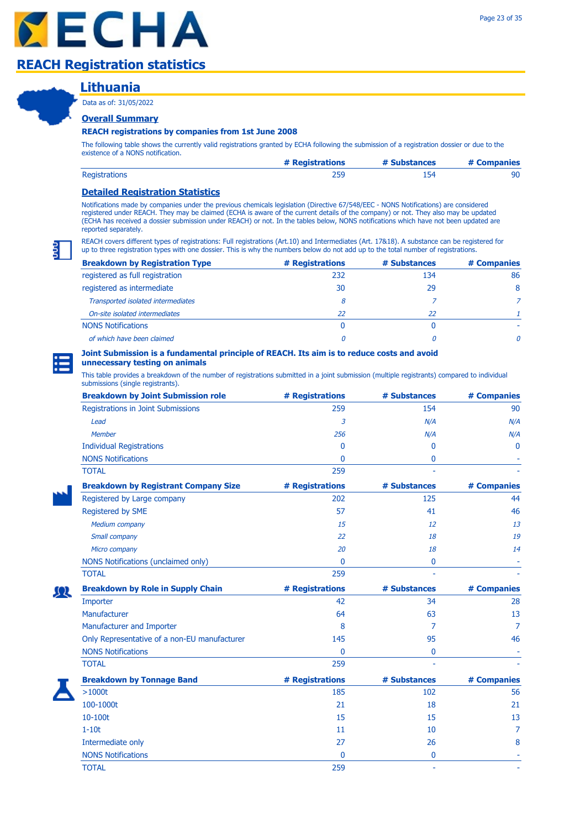### **Lithuania**

Data as of: 31/05/2022

### **Overall Summary**

#### **REACH registrations by companies from 1st June 2008**

The following table shows the currently valid registrations granted by ECHA following the submission of a registration dossier or due to the existence of a NONS notification.

|                      | # Registrations | # Substances | # Companies |
|----------------------|-----------------|--------------|-------------|
| <b>Registrations</b> |                 | 45 ב         |             |

### **Detailed Registration Statistics**

Notifications made by companies under the previous chemicals legislation (Directive 67/548/EEC - NONS Notifications) are considered registered under REACH. They may be claimed (ECHA is aware of the current details of the company) or not. They also may be updated (ECHA has received a dossier submission under REACH) or not. In the tables below, NONS notifications which have not been updated are reported separately.

REACH covers different types of registrations: Full registrations (Art.10) and Intermediates (Art. 17&18). A substance can be registered for up to three registration types with one dossier. This is why the numbers below do not add up to the total number of registrations.

| <b>Breakdown by Registration Type</b> | # Registrations | # Substances | # Companies  |
|---------------------------------------|-----------------|--------------|--------------|
| registered as full registration       | 232             | 134          | 86           |
| registered as intermediate            | 30              | 29           | 8            |
| Transported isolated intermediates    | 8               |              |              |
| On-site isolated intermediates        | 22              | 22           |              |
| <b>NONS Notifications</b>             | 0               |              |              |
| of which have been claimed            |                 |              | <sup>n</sup> |

### **Joint Submission is a fundamental principle of REACH. Its aim is to reduce costs and avoid**

### **unnecessary testing on animals**

| <b>Breakdown by Joint Submission role</b>    | # Registrations | # Substances | # Companies  |
|----------------------------------------------|-----------------|--------------|--------------|
| Registrations in Joint Submissions           | 259             | 154          | 90           |
| Lead                                         | 3               | N/A          | N/A          |
| <b>Member</b>                                | 256             | N/A          | N/A          |
| <b>Individual Registrations</b>              | 0               | $\mathbf{0}$ | $\mathbf{0}$ |
| <b>NONS Notifications</b>                    | 0               | 0            |              |
| <b>TOTAL</b>                                 | 259             |              |              |
| <b>Breakdown by Registrant Company Size</b>  | # Registrations | # Substances | # Companies  |
| Registered by Large company                  | 202             | 125          | 44           |
| Registered by SME                            | 57              | 41           | 46           |
| Medium company                               | 15              | 12           | 13           |
| Small company                                | 22              | 18           | 19           |
| Micro company                                | 20              | 18           | 14           |
| NONS Notifications (unclaimed only)          | $\mathbf{0}$    | 0            |              |
| <b>TOTAL</b>                                 | 259             |              |              |
| <b>Breakdown by Role in Supply Chain</b>     | # Registrations | # Substances | # Companies  |
| Importer                                     | 42              | 34           | 28           |
| Manufacturer                                 | 64              | 63           | 13           |
| Manufacturer and Importer                    | 8               | 7            | 7            |
| Only Representative of a non-EU manufacturer | 145             | 95           | 46           |
| <b>NONS Notifications</b>                    | $\Omega$        | 0            |              |
| <b>TOTAL</b>                                 | 259             |              |              |
| <b>Breakdown by Tonnage Band</b>             | # Registrations | # Substances | # Companies  |
| >1000t                                       | 185             | 102          | 56           |
| 100-1000t                                    | 21              | 18           | 21           |
| 10-100t                                      | 15              | 15           | 13           |
| $1-10t$                                      | 11              | 10           | 7            |
| Intermediate only                            | 27              | 26           | 8            |
| <b>NONS Notifications</b>                    | 0               | 0            |              |
| <b>TOTAL</b>                                 | 259             | ä,           |              |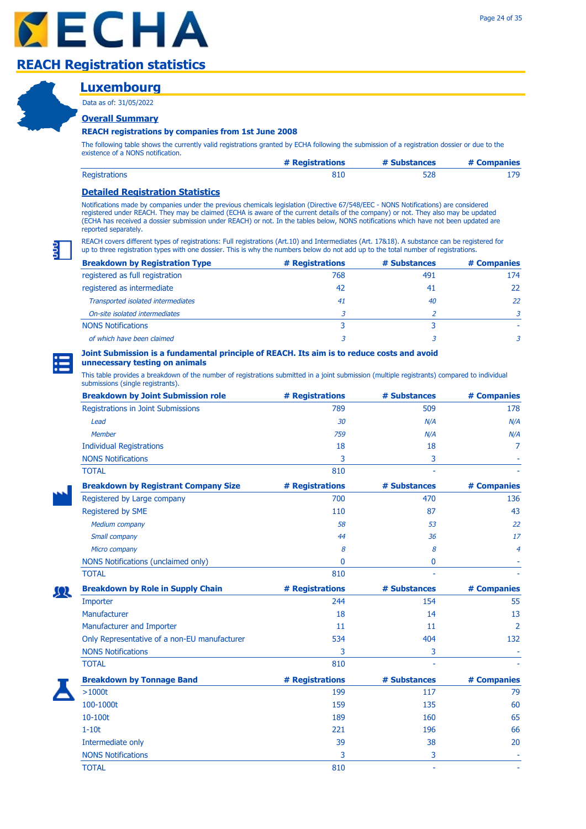# **Luxembourg**

Data as of: 31/05/2022

### **Overall Summary**

#### **REACH registrations by companies from 1st June 2008**

The following table shows the currently valid registrations granted by ECHA following the submission of a registration dossier or due to the existence of a NONS notification.

|                      | # Registrations | # Substances | # Companies |
|----------------------|-----------------|--------------|-------------|
| <b>Registrations</b> |                 |              |             |

### **Detailed Registration Statistics**

Notifications made by companies under the previous chemicals legislation (Directive 67/548/EEC - NONS Notifications) are considered registered under REACH. They may be claimed (ECHA is aware of the current details of the company) or not. They also may be updated (ECHA has received a dossier submission under REACH) or not. In the tables below, NONS notifications which have not been updated are reported separately.

REACH covers different types of registrations: Full registrations (Art.10) and Intermediates (Art. 17&18). A substance can be registered for up to three registration types with one dossier. This is why the numbers below do not add up to the total number of registrations.

| <b>Breakdown by Registration Type</b> | # Registrations | # Substances | # Companies |
|---------------------------------------|-----------------|--------------|-------------|
| registered as full registration       | 768             | 491          | 174         |
| registered as intermediate            | 42              | 41           | 22          |
| Transported isolated intermediates    | 41              | 40           | 22          |
| On-site isolated intermediates        |                 |              |             |
| <b>NONS Notifications</b>             |                 |              |             |
| of which have been claimed            |                 |              |             |

#### **Joint Submission is a fundamental principle of REACH. Its aim is to reduce costs and avoid unnecessary testing on animals**

| <b>Breakdown by Joint Submission role</b>    | # Registrations | # Substances | # Companies    |
|----------------------------------------------|-----------------|--------------|----------------|
| Registrations in Joint Submissions           | 789             | 509          | 178            |
| Lead                                         | 30              | N/A          | N/A            |
| Member                                       | 759             | N/A          | N/A            |
| <b>Individual Registrations</b>              | 18              | 18           | 7              |
| <b>NONS Notifications</b>                    | 3               | 3            |                |
| <b>TOTAL</b>                                 | 810             |              |                |
| <b>Breakdown by Registrant Company Size</b>  | # Registrations | # Substances | # Companies    |
| Registered by Large company                  | 700             | 470          | 136            |
| Registered by SME                            | 110             | 87           | 43             |
| Medium company                               | 58              | 53           | 22             |
| Small company                                | 44              | 36           | 17             |
| Micro company                                | 8               | 8            | 4              |
| NONS Notifications (unclaimed only)          | 0               | 0            |                |
| <b>TOTAL</b>                                 | 810             |              |                |
| <b>Breakdown by Role in Supply Chain</b>     | # Registrations | # Substances | # Companies    |
| Importer                                     | 244             | 154          | 55             |
| Manufacturer                                 | 18              | 14           | 13             |
| Manufacturer and Importer                    | 11              | 11           | $\overline{2}$ |
| Only Representative of a non-EU manufacturer | 534             | 404          | 132            |
| <b>NONS Notifications</b>                    | 3               | 3            |                |
| <b>TOTAL</b>                                 | 810             |              |                |
| <b>Breakdown by Tonnage Band</b>             | # Registrations | # Substances | # Companies    |
| $>1000t$                                     | 199             | 117          | 79             |
| 100-1000t                                    | 159             | 135          | 60             |
| 10-100t                                      | 189             | 160          | 65             |
| $1-10t$                                      | 221             | 196          | 66             |
| Intermediate only                            | 39              | 38           | 20             |
| <b>NONS Notifications</b>                    | 3               | 3            |                |
| <b>TOTAL</b>                                 | 810             | ä,           |                |

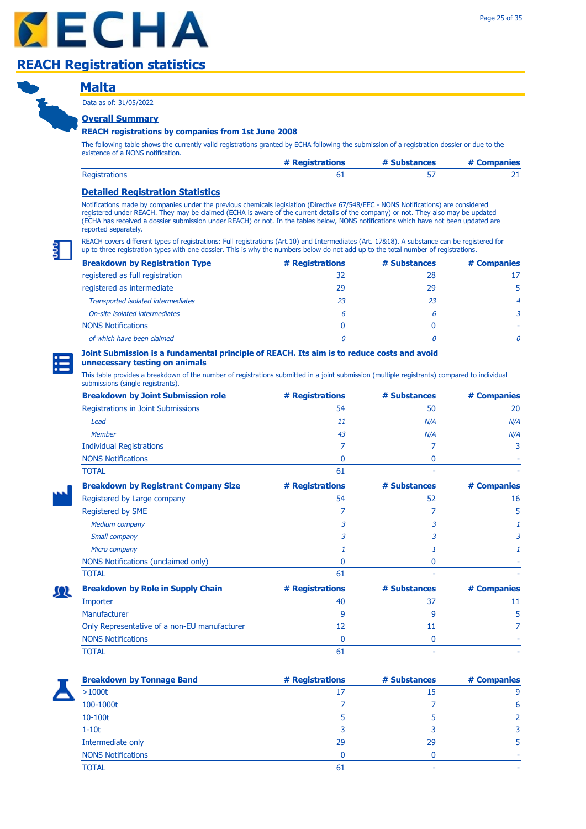### **Malta Overall Summary** Data as of: 31/05/2022

ΩR

### **REACH registrations by companies from 1st June 2008**

The following table shows the currently valid registrations granted by ECHA following the submission of a registration dossier or due to the existence of a NONS notification.

|                      | # Registrations | # Substances | # Companies |
|----------------------|-----------------|--------------|-------------|
| <b>Registrations</b> |                 |              |             |

### **Detailed Registration Statistics**

Notifications made by companies under the previous chemicals legislation (Directive 67/548/EEC - NONS Notifications) are considered registered under REACH. They may be claimed (ECHA is aware of the current details of the company) or not. They also may be updated (ECHA has received a dossier submission under REACH) or not. In the tables below, NONS notifications which have not been updated are reported separately.

REACH covers different types of registrations: Full registrations (Art.10) and Intermediates (Art. 17&18). A substance can be registered for up to three registration types with one dossier. This is why the numbers below do not add up to the total number of registrations.

| <b>Breakdown by Registration Type</b> | # Registrations | # Substances | # Companies  |
|---------------------------------------|-----------------|--------------|--------------|
| registered as full registration       | 32              | 28           |              |
| registered as intermediate            | 29              | 29           |              |
| Transported isolated intermediates    | 23              | 23           | 4            |
| On-site isolated intermediates        | 6               |              |              |
| <b>NONS Notifications</b>             |                 |              |              |
| of which have been claimed            |                 |              | <sup>n</sup> |

# **Joint Submission is a fundamental principle of REACH. Its aim is to reduce costs and avoid**

### **unnecessary testing on animals**

| <b>Breakdown by Joint Submission role</b>    | # Registrations | # Substances | # Companies |
|----------------------------------------------|-----------------|--------------|-------------|
| Registrations in Joint Submissions           | 54              | 50           | 20          |
| Lead                                         | 11              | N/A          | N/A         |
| <b>Member</b>                                | 43              | N/A          | N/A         |
| <b>Individual Registrations</b>              | 7               |              | 3           |
| <b>NONS Notifications</b>                    | 0               | 0            |             |
| <b>TOTAL</b>                                 | 61              |              |             |
| <b>Breakdown by Registrant Company Size</b>  | # Registrations | # Substances | # Companies |
| Registered by Large company                  | 54              | 52           | 16          |
| Registered by SME                            |                 |              | 5           |
| <b>Medium company</b>                        | 3               | 3            |             |
| Small company                                | 3               | 3            | 3           |
| Micro company                                |                 |              |             |
| NONS Notifications (unclaimed only)          | 0               | 0            |             |
| <b>TOTAL</b>                                 | 61              |              |             |
| <b>Breakdown by Role in Supply Chain</b>     | # Registrations | # Substances | # Companies |
| Importer                                     | 40              | 37           | 11          |
| Manufacturer                                 | 9               | 9            | 5           |
| Only Representative of a non-EU manufacturer | 12              | 11           |             |
| <b>NONS Notifications</b>                    | 0               | 0            |             |
| <b>TOTAL</b>                                 | 61              |              |             |

| <b>Breakdown by Tonnage Band</b> | # Registrations | # Substances | # Companies |
|----------------------------------|-----------------|--------------|-------------|
| >1000t                           | 17              | 15           | 9           |
| 100-1000t                        |                 |              | 6           |
| $10-100t$                        |                 |              |             |
| $1-10t$                          |                 |              | 3           |
| Intermediate only                | 29              | 29           | 5           |
| <b>NONS Notifications</b>        | n               |              | ۰           |
| <b>TOTAL</b>                     | 61              |              | ۰           |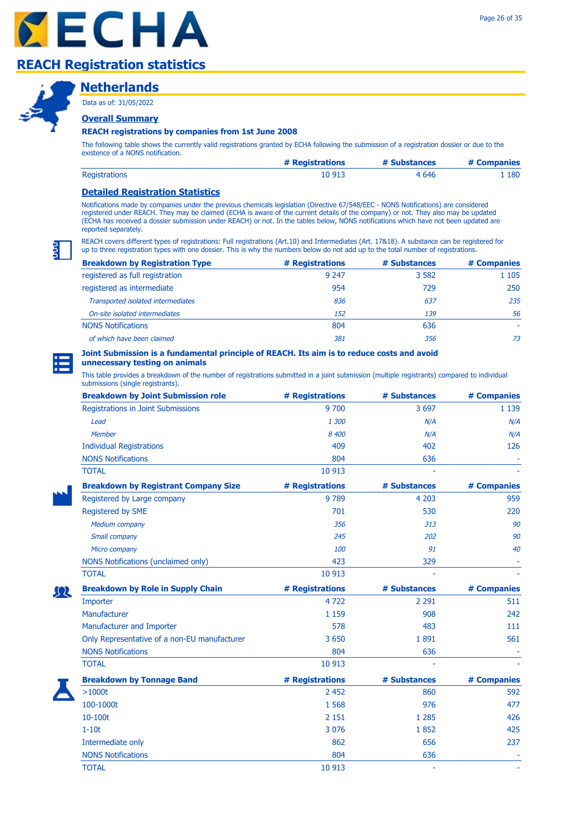



### **Netherlands**

Data as of: 31/05/2022

### **Overall Summary**

### **REACH registrations by companies from 1st June 2008**

The following table shows the currently valid registrations granted by ECHA following the submission of a registration dossier or due to the existence of a NONS notification.

|                      | # Registrations | # Substances | # Companies |
|----------------------|-----------------|--------------|-------------|
| <b>Registrations</b> | 10 913          | 4 6 4 6      | 180         |

### **Detailed Registration Statistics**

Notifications made by companies under the previous chemicals legislation (Directive 67/548/EEC - NONS Notifications) are considered registered under REACH. They may be claimed (ECHA is aware of the current details of the company) or not. They also may be updated (ECHA has received a dossier submission under REACH) or not. In the tables below, NONS notifications which have not been updated are reported separately.

REACH covers different types of registrations: Full registrations (Art.10) and Intermediates (Art. 17&18). A substance can be registered for up to three registration types with one dossier. This is why the numbers below do not add up to the total number of registrations.

| <b>Breakdown by Registration Type</b> | # Registrations | # Substances | # Companies |
|---------------------------------------|-----------------|--------------|-------------|
| registered as full registration       | 9 2 4 7         | 3 5 8 2      | 1 1 0 5     |
| registered as intermediate            | 954             | 729          | 250         |
| Transported isolated intermediates    | 836             | 637          | 235         |
| On-site isolated intermediates        | 152             | 139          | 56          |
| <b>NONS Notifications</b>             | 804             | 636          |             |
| of which have been claimed            | 381             | 356          | 73          |

# **Joint Submission is a fundamental principle of REACH. Its aim is to reduce costs and avoid**

### **unnecessary testing on animals**

| <b>Breakdown by Joint Submission role</b>    | # Registrations | # Substances | # Companies |
|----------------------------------------------|-----------------|--------------|-------------|
| Registrations in Joint Submissions           | 9 700           | 3 6 9 7      | 1 1 3 9     |
| Lead                                         | 1 300           | N/A          | N/A         |
| <b>Member</b>                                | 8 400           | N/A          | N/A         |
| <b>Individual Registrations</b>              | 409             | 402          | 126         |
| <b>NONS Notifications</b>                    | 804             | 636          |             |
| <b>TOTAL</b>                                 | 10 913          |              |             |
| <b>Breakdown by Registrant Company Size</b>  | # Registrations | # Substances | # Companies |
| Registered by Large company                  | 9 7 8 9         | 4 2 0 3      | 959         |
| Registered by SME                            | 701             | 530          | 220         |
| <b>Medium company</b>                        | 356             | 313          | 90          |
| Small company                                | 245             | 202          | 90          |
| Micro company                                | 100             | 91           | 40          |
| NONS Notifications (unclaimed only)          | 423             | 329          |             |
| <b>TOTAL</b>                                 | 10 913          |              |             |
| <b>Breakdown by Role in Supply Chain</b>     | # Registrations | # Substances | # Companies |
| Importer                                     | 4722            | 2 2 9 1      | 511         |
| Manufacturer                                 | 1 1 5 9         | 908          | 242         |
| Manufacturer and Importer                    | 578             | 483          | 111         |
| Only Representative of a non-EU manufacturer | 3 6 5 0         | 1891         | 561         |
| <b>NONS Notifications</b>                    | 804             | 636          |             |
| <b>TOTAL</b>                                 | 10 913          |              |             |
| <b>Breakdown by Tonnage Band</b>             | # Registrations | # Substances | # Companies |
| >1000t                                       | 2 4 5 2         | 860          | 592         |
| 100-1000t                                    | 1 5 6 8         | 976          | 477         |
| 10-100t                                      | 2 1 5 1         | 1 2 8 5      | 426         |
| $1-10t$                                      | 3 0 7 6         | 1852         | 425         |
| Intermediate only                            | 862             | 656          | 237         |
| <b>NONS Notifications</b>                    | 804             | 636          |             |
| <b>TOTAL</b>                                 | 10 913          | ä,           |             |

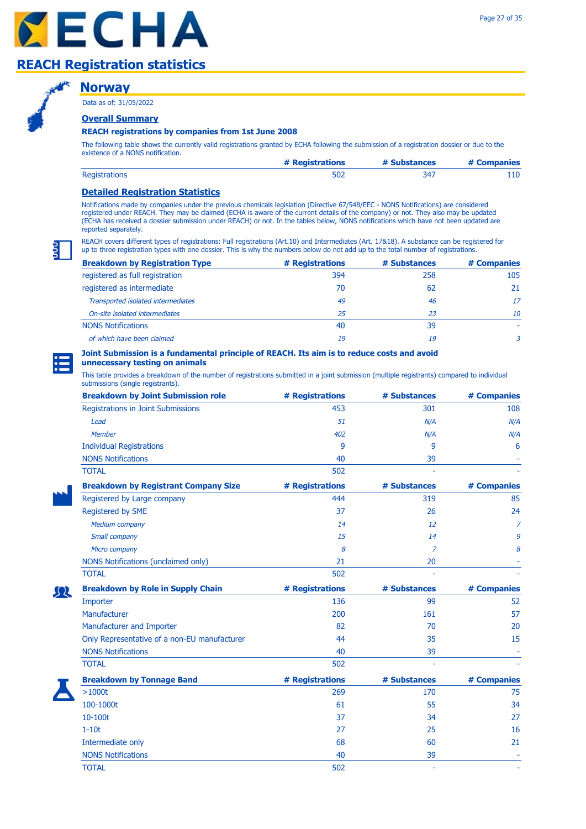### **Norway**

Data as of: 31/05/2022

### **Overall Summary**

#### **REACH registrations by companies from 1st June 2008**

The following table shows the currently valid registrations granted by ECHA following the submission of a registration dossier or due to the existence of a NONS notification.

|                      | # Registrations | # Substances | # Companies |
|----------------------|-----------------|--------------|-------------|
| <b>Registrations</b> | 502             |              |             |

### **Detailed Registration Statistics**

Notifications made by companies under the previous chemicals legislation (Directive 67/548/EEC - NONS Notifications) are considered registered under REACH. They may be claimed (ECHA is aware of the current details of the company) or not. They also may be updated (ECHA has received a dossier submission under REACH) or not. In the tables below, NONS notifications which have not been updated are reported separately.

REACH covers different types of registrations: Full registrations (Art.10) and Intermediates (Art. 17&18). A substance can be registered for up to three registration types with one dossier. This is why the numbers below do not add up to the total number of registrations.

| <b>Breakdown by Registration Type</b> | # Registrations | # Substances | # Companies |
|---------------------------------------|-----------------|--------------|-------------|
| registered as full registration       | 394             | 258          | 105         |
| registered as intermediate            | 70              | 62           | 21          |
| Transported isolated intermediates    | 49              | 46           | 17          |
| On-site isolated intermediates        | 25              | 23           | 10          |
| <b>NONS Notifications</b>             | 40              | 39           |             |
| of which have been claimed            | 19              | 19           | 3           |

#### **Joint Submission is a fundamental principle of REACH. Its aim is to reduce costs and avoid unnecessary testing on animals**

| <b>Breakdown by Joint Submission role</b>    | # Registrations | # Substances        | # Companies    |
|----------------------------------------------|-----------------|---------------------|----------------|
| Registrations in Joint Submissions           | 453             | 301                 | 108            |
| Lead                                         | 51              | N/A                 | N/A            |
| Member                                       | 402             | N/A                 | N/A            |
| <b>Individual Registrations</b>              | 9               | 9                   | 6              |
| <b>NONS Notifications</b>                    | 40              | 39                  |                |
| <b>TOTAL</b>                                 | 502             |                     |                |
| <b>Breakdown by Registrant Company Size</b>  | # Registrations | # Substances        | # Companies    |
| Registered by Large company                  | 444             | 319                 | 85             |
| Registered by SME                            | 37              | 26                  | 24             |
| <b>Medium company</b>                        | 14              | 12                  | $\overline{z}$ |
| Small company                                | 15              | 14                  | 9              |
| Micro company                                | 8               | Z                   | 8              |
| NONS Notifications (unclaimed only)          | 21              | 20                  |                |
| <b>TOTAL</b>                                 | 502             |                     |                |
| <b>Breakdown by Role in Supply Chain</b>     | # Registrations | # Substances        | # Companies    |
| Importer                                     | 136             | 99                  | 52             |
| Manufacturer                                 | 200             | 161                 | 57             |
| Manufacturer and Importer                    | 82              | 70                  | 20             |
| Only Representative of a non-EU manufacturer | 44              | 35                  | 15             |
| <b>NONS Notifications</b>                    | 40              | 39                  |                |
| <b>TOTAL</b>                                 | 502             |                     |                |
| <b>Breakdown by Tonnage Band</b>             | # Registrations | # Substances        | # Companies    |
| $>1000t$                                     | 269             | 170                 | 75             |
| 100-1000t                                    | 61              | 55                  | 34             |
| 10-100t                                      | 37              | 34                  | 27             |
| $1-10t$                                      | 27              | 25                  | 16             |
| Intermediate only                            | 68              | 60                  | 21             |
| <b>NONS Notifications</b>                    | 40              | 39                  |                |
| <b>TOTAL</b>                                 | 502             | $\bar{\phantom{a}}$ |                |

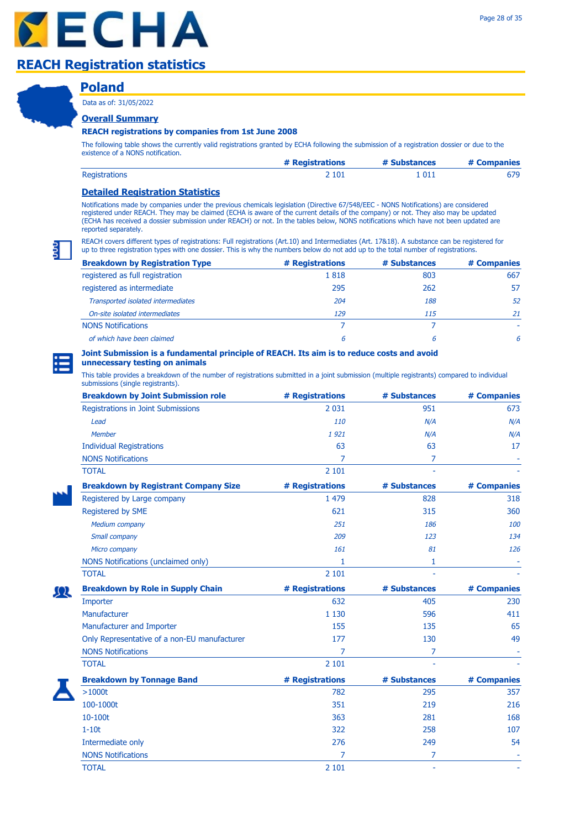# **Poland**

Data as of: 31/05/2022

### **Overall Summary**

#### **REACH registrations by companies from 1st June 2008**

The following table shows the currently valid registrations granted by ECHA following the submission of a registration dossier or due to the existence of a NONS notification.

|                      | # Registrations | # Substances | # Companies |
|----------------------|-----------------|--------------|-------------|
| <b>Registrations</b> | 2 101           | 1 011        | 679         |

### **Detailed Registration Statistics**

Notifications made by companies under the previous chemicals legislation (Directive 67/548/EEC - NONS Notifications) are considered registered under REACH. They may be claimed (ECHA is aware of the current details of the company) or not. They also may be updated (ECHA has received a dossier submission under REACH) or not. In the tables below, NONS notifications which have not been updated are reported separately.

REACH covers different types of registrations: Full registrations (Art.10) and Intermediates (Art. 17&18). A substance can be registered for up to three registration types with one dossier. This is why the numbers below do not add up to the total number of registrations.

| <b>Breakdown by Registration Type</b> | # Registrations | # Substances | # Companies |
|---------------------------------------|-----------------|--------------|-------------|
| registered as full registration       | 1818            | 803          | 667         |
| registered as intermediate            | 295             | 262          | 57          |
| Transported isolated intermediates    | 204             | 188          | 52          |
| On-site isolated intermediates        | 129             | 115          | 21          |
| <b>NONS Notifications</b>             |                 |              |             |
| of which have been claimed            | 6               | 6            | 6           |

#### **Joint Submission is a fundamental principle of REACH. Its aim is to reduce costs and avoid unnecessary testing on animals**

| <b>Breakdown by Joint Submission role</b>    | # Registrations | # Substances   | # Companies |
|----------------------------------------------|-----------------|----------------|-------------|
| Registrations in Joint Submissions           | 2 0 3 1         | 951            | 673         |
| Lead                                         | 110             | N/A            | N/A         |
| <b>Member</b>                                | 1921            | N/A            | N/A         |
| <b>Individual Registrations</b>              | 63              | 63             | 17          |
| <b>NONS Notifications</b>                    | 7               | $\overline{7}$ |             |
| <b>TOTAL</b>                                 | 2 1 0 1         |                |             |
| <b>Breakdown by Registrant Company Size</b>  | # Registrations | # Substances   | # Companies |
| Registered by Large company                  | 1 4 7 9         | 828            | 318         |
| Registered by SME                            | 621             | 315            | 360         |
| <b>Medium company</b>                        | 251             | 186            | 100         |
| Small company                                | 209             | 123            | 134         |
| Micro company                                | 161             | 81             | 126         |
| NONS Notifications (unclaimed only)          | 1               | 1              |             |
| <b>TOTAL</b>                                 | 2 1 0 1         |                |             |
| <b>Breakdown by Role in Supply Chain</b>     | # Registrations | # Substances   | # Companies |
| Importer                                     | 632             | 405            | 230         |
| Manufacturer                                 | 1 1 3 0         | 596            | 411         |
| Manufacturer and Importer                    | 155             | 135            | 65          |
| Only Representative of a non-EU manufacturer | 177             | 130            | 49          |
| <b>NONS Notifications</b>                    | 7               | $\overline{7}$ |             |
| <b>TOTAL</b>                                 | 2 1 0 1         |                |             |
| <b>Breakdown by Tonnage Band</b>             | # Registrations | # Substances   | # Companies |
| >1000t                                       | 782             | 295            | 357         |
| 100-1000t                                    | 351             | 219            | 216         |
| 10-100t                                      | 363             | 281            | 168         |
| $1-10t$                                      | 322             | 258            | 107         |
| Intermediate only                            | 276             | 249            | 54          |
| <b>NONS Notifications</b>                    | 7               | 7              |             |
| <b>TOTAL</b>                                 | 2 1 0 1         |                |             |

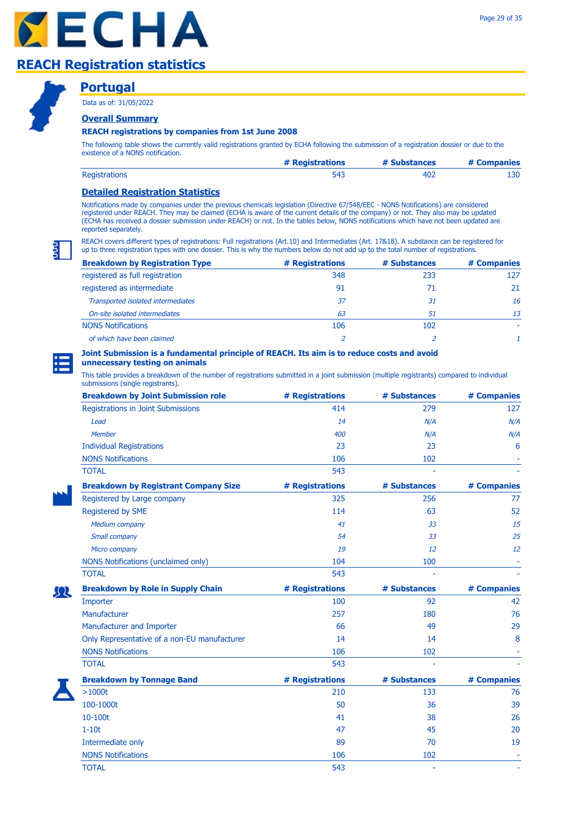



### **Portugal**

Data as of: 31/05/2022

### **Overall Summary**

### **REACH registrations by companies from 1st June 2008**

The following table shows the currently valid registrations granted by ECHA following the submission of a registration dossier or due to the existence of a NONS notification.

|                      | # Registrations | # Substances | # Companies |
|----------------------|-----------------|--------------|-------------|
| <b>Registrations</b> |                 |              | 130         |

### **Detailed Registration Statistics**

Notifications made by companies under the previous chemicals legislation (Directive 67/548/EEC - NONS Notifications) are considered registered under REACH. They may be claimed (ECHA is aware of the current details of the company) or not. They also may be updated (ECHA has received a dossier submission under REACH) or not. In the tables below, NONS notifications which have not been updated are reported separately.

REACH covers different types of registrations: Full registrations (Art.10) and Intermediates (Art. 17&18). A substance can be registered for up to three registration types with one dossier. This is why the numbers below do not add up to the total number of registrations.

| <b>Breakdown by Registration Type</b> | # Registrations | # Substances | # Companies |
|---------------------------------------|-----------------|--------------|-------------|
| registered as full registration       | 348             | 233          | 127         |
| registered as intermediate            | 91              |              | 21          |
| Transported isolated intermediates    | 37              | 31           | 16          |
| On-site isolated intermediates        | 63              | 51           | 13          |
| <b>NONS Notifications</b>             | 106             | 102          |             |
| of which have been claimed            |                 |              |             |

#### **Joint Submission is a fundamental principle of REACH. Its aim is to reduce costs and avoid unnecessary testing on animals**

| <b>Breakdown by Joint Submission role</b>    | # Registrations | # Substances | # Companies |
|----------------------------------------------|-----------------|--------------|-------------|
| Registrations in Joint Submissions           | 414             | 279          | 127         |
| Lead                                         | 14              | N/A          | N/A         |
| Member                                       | 400             | N/A          | N/A         |
| <b>Individual Registrations</b>              | 23              | 23           | 6           |
| <b>NONS Notifications</b>                    | 106             | 102          |             |
| <b>TOTAL</b>                                 | 543             |              |             |
| <b>Breakdown by Registrant Company Size</b>  | # Registrations | # Substances | # Companies |
| Registered by Large company                  | 325             | 256          | 77          |
| Registered by SME                            | 114             | 63           | 52          |
| <b>Medium company</b>                        | 41              | 33           | 15          |
| Small company                                | 54              | 33           | 25          |
| Micro company                                | 19              | 12           | 12          |
| NONS Notifications (unclaimed only)          | 104             | 100          |             |
| <b>TOTAL</b>                                 | 543             |              |             |
| <b>Breakdown by Role in Supply Chain</b>     | # Registrations | # Substances | # Companies |
| Importer                                     | 100             | 92           | 42          |
| Manufacturer                                 | 257             | 180          | 76          |
| Manufacturer and Importer                    | 66              | 49           | 29          |
| Only Representative of a non-EU manufacturer | 14              | 14           | 8           |
| <b>NONS Notifications</b>                    | 106             | 102          |             |
| <b>TOTAL</b>                                 | 543             |              |             |
| <b>Breakdown by Tonnage Band</b>             | # Registrations | # Substances | # Companies |
| >1000t                                       | 210             | 133          | 76          |
| 100-1000t                                    | 50              | 36           | 39          |
| 10-100t                                      | 41              | 38           | 26          |
| $1-10t$                                      | 47              | 45           | 20          |
| Intermediate only                            | 89              | 70           | 19          |
| <b>NONS Notifications</b>                    | 106             | 102          |             |
| <b>TOTAL</b>                                 | 543             | ä,           |             |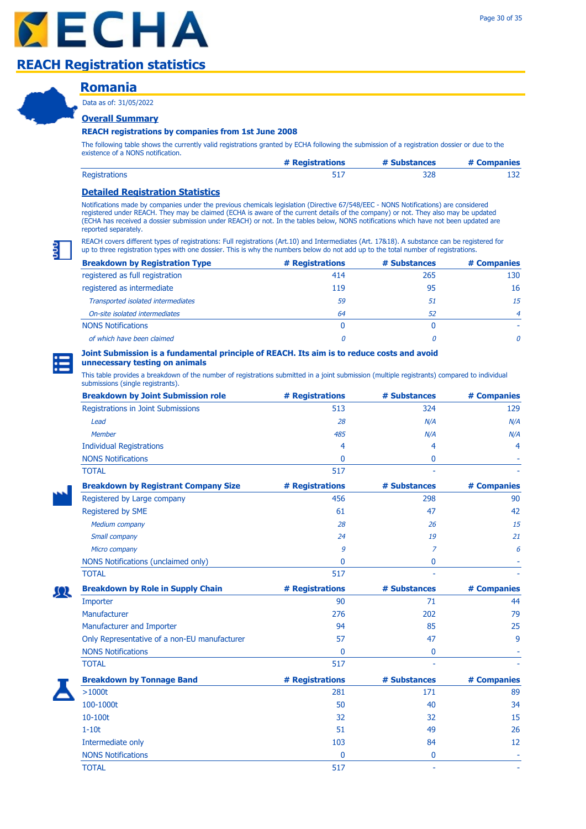### **Romania**

Data as of: 31/05/2022

### **Overall Summary**

#### **REACH registrations by companies from 1st June 2008**

The following table shows the currently valid registrations granted by ECHA following the submission of a registration dossier or due to the existence of a NONS notification.

|                      | # Registrations | # Substances | # Companies |
|----------------------|-----------------|--------------|-------------|
| <b>Registrations</b> |                 | 328          | ∸∽          |

### **Detailed Registration Statistics**

Notifications made by companies under the previous chemicals legislation (Directive 67/548/EEC - NONS Notifications) are considered registered under REACH. They may be claimed (ECHA is aware of the current details of the company) or not. They also may be updated (ECHA has received a dossier submission under REACH) or not. In the tables below, NONS notifications which have not been updated are reported separately.

REACH covers different types of registrations: Full registrations (Art.10) and Intermediates (Art. 17&18). A substance can be registered for up to three registration types with one dossier. This is why the numbers below do not add up to the total number of registrations.

| <b>Breakdown by Registration Type</b> | # Registrations | # Substances | # Companies    |
|---------------------------------------|-----------------|--------------|----------------|
| registered as full registration       | 414             | 265          | 130            |
| registered as intermediate            | 119             | 95           | 16             |
| Transported isolated intermediates    | 59              | 51           | 15             |
| On-site isolated intermediates        | 64              | 52           | $\overline{4}$ |
| <b>NONS Notifications</b>             | 0               |              |                |
| of which have been claimed            |                 |              | 0              |

### **Joint Submission is a fundamental principle of REACH. Its aim is to reduce costs and avoid**

### **unnecessary testing on animals**

| <b>Breakdown by Joint Submission role</b>    | # Registrations | # Substances | # Companies |
|----------------------------------------------|-----------------|--------------|-------------|
| Registrations in Joint Submissions           | 513             | 324          | 129         |
| Lead                                         | 28              | N/A          | N/A         |
| Member                                       | 485             | N/A          | N/A         |
| <b>Individual Registrations</b>              | 4               | 4            | 4           |
| <b>NONS Notifications</b>                    | 0               | 0            |             |
| <b>TOTAL</b>                                 | 517             |              |             |
| <b>Breakdown by Registrant Company Size</b>  | # Registrations | # Substances | # Companies |
| Registered by Large company                  | 456             | 298          | 90          |
| Registered by SME                            | 61              | 47           | 42          |
| Medium company                               | 28              | 26           | 15          |
| Small company                                | 24              | 19           | 21          |
| Micro company                                | 9               | 7            | 6           |
| NONS Notifications (unclaimed only)          | 0               | 0            |             |
| <b>TOTAL</b>                                 | 517             |              |             |
| <b>Breakdown by Role in Supply Chain</b>     | # Registrations | # Substances | # Companies |
| Importer                                     | 90              | 71           | 44          |
| Manufacturer                                 | 276             | 202          | 79          |
| Manufacturer and Importer                    | 94              | 85           | 25          |
| Only Representative of a non-EU manufacturer | 57              | 47           | 9           |
| <b>NONS Notifications</b>                    | 0               | 0            |             |
| <b>TOTAL</b>                                 | 517             |              |             |
| <b>Breakdown by Tonnage Band</b>             | # Registrations | # Substances | # Companies |
| $>1000t$                                     | 281             | 171          | 89          |
| 100-1000t                                    | 50              | 40           | 34          |
| 10-100t                                      | 32              | 32           | 15          |
| $1-10t$                                      | 51              | 49           | 26          |
| Intermediate only                            | 103             | 84           | 12          |
| <b>NONS Notifications</b>                    | 0               | 0            |             |
| <b>TOTAL</b>                                 | 517             | ä,           |             |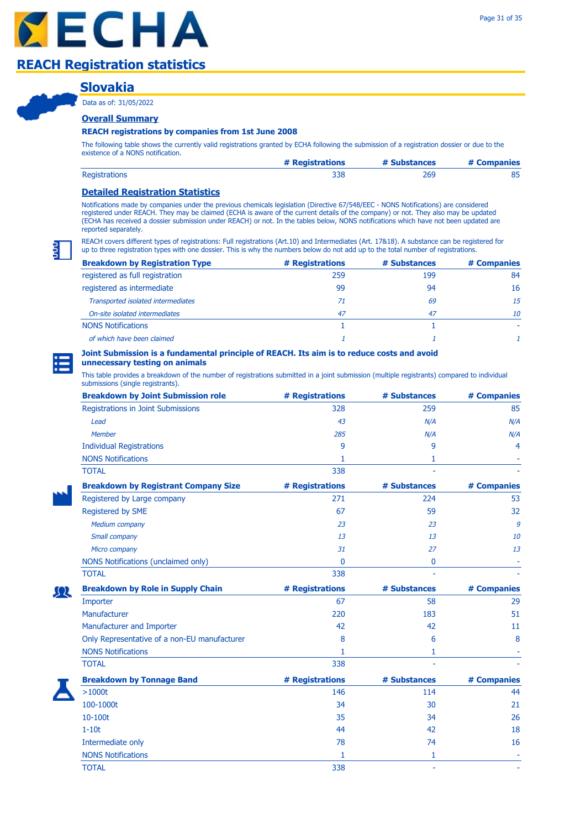### **Slovakia**

Data as of: 31/05/2022

### **Overall Summary**

#### **REACH registrations by companies from 1st June 2008**

The following table shows the currently valid registrations granted by ECHA following the submission of a registration dossier or due to the existence of a NONS notification.

|                      | # Registrations | # Substances | # Companies |
|----------------------|-----------------|--------------|-------------|
| <b>Registrations</b> |                 | 269          |             |

### **Detailed Registration Statistics**

Notifications made by companies under the previous chemicals legislation (Directive 67/548/EEC - NONS Notifications) are considered registered under REACH. They may be claimed (ECHA is aware of the current details of the company) or not. They also may be updated (ECHA has received a dossier submission under REACH) or not. In the tables below, NONS notifications which have not been updated are reported separately.

REACH covers different types of registrations: Full registrations (Art.10) and Intermediates (Art. 17&18). A substance can be registered for up to three registration types with one dossier. This is why the numbers below do not add up to the total number of registrations.

| <b>Breakdown by Registration Type</b> | # Registrations | # Substances | # Companies |
|---------------------------------------|-----------------|--------------|-------------|
| registered as full registration       | 259             | 199          | 84          |
| registered as intermediate            | 99              | 94           | 16          |
| Transported isolated intermediates    | 71              | 69           | 15          |
| On-site isolated intermediates        | 47              | 47           | 10          |
| <b>NONS Notifications</b>             |                 |              |             |
| of which have been claimed            |                 |              |             |

#### **Joint Submission is a fundamental principle of REACH. Its aim is to reduce costs and avoid unnecessary testing on animals**

| <b>Breakdown by Joint Submission role</b>    | # Registrations | # Substances | # Companies |
|----------------------------------------------|-----------------|--------------|-------------|
| Registrations in Joint Submissions           | 328             | 259          | 85          |
| Lead                                         | 43              | N/A          | N/A         |
| Member                                       | 285             | N/A          | N/A         |
| <b>Individual Registrations</b>              | 9               | 9            | 4           |
| <b>NONS Notifications</b>                    | 1.              | 1            |             |
| <b>TOTAL</b>                                 | 338             |              |             |
| <b>Breakdown by Registrant Company Size</b>  | # Registrations | # Substances | # Companies |
| Registered by Large company                  | 271             | 224          | 53          |
| Registered by SME                            | 67              | 59           | 32          |
| Medium company                               | 23              | 23           | 9           |
| Small company                                | 13              | 13           | 10          |
| Micro company                                | 31              | 27           | 13          |
| NONS Notifications (unclaimed only)          | $\Omega$        | 0            |             |
| <b>TOTAL</b>                                 | 338             |              |             |
| <b>Breakdown by Role in Supply Chain</b>     | # Registrations | # Substances | # Companies |
| Importer                                     | 67              | 58           | 29          |
| Manufacturer                                 | 220             | 183          | 51          |
| Manufacturer and Importer                    | 42              | 42           | 11          |
| Only Representative of a non-EU manufacturer | 8               | 6            | 8           |
| <b>NONS Notifications</b>                    | 1.              | 1            |             |
| <b>TOTAL</b>                                 | 338             |              |             |
| <b>Breakdown by Tonnage Band</b>             | # Registrations | # Substances | # Companies |
| $>1000t$                                     | 146             | 114          | 44          |
| 100-1000t                                    | 34              | 30           | 21          |
| 10-100t                                      | 35              | 34           | 26          |
| $1-10t$                                      | 44              | 42           | 18          |
| Intermediate only                            | 78              | 74           | 16          |
| <b>NONS Notifications</b>                    | 1               | 1            |             |
| <b>TOTAL</b>                                 | 338             | ä,           |             |

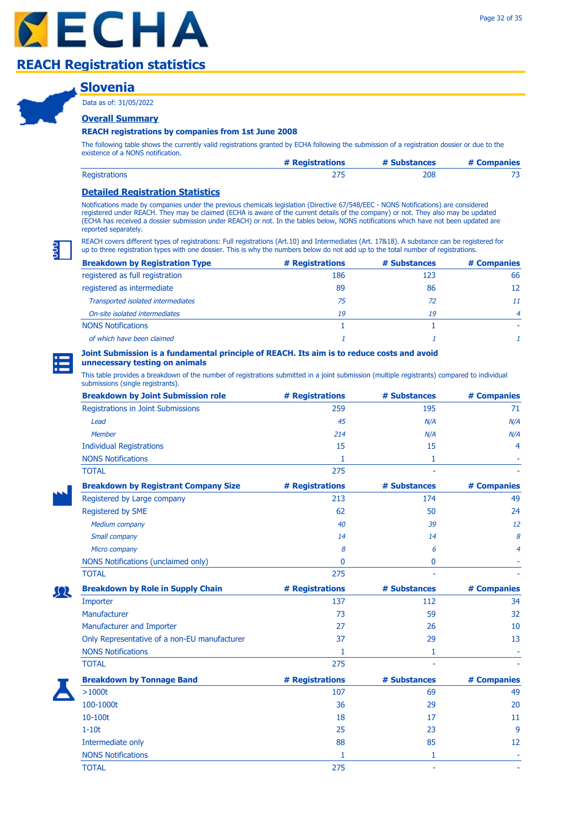### **Slovenia**

Data as of: 31/05/2022

### **Overall Summary**

#### **REACH registrations by companies from 1st June 2008**

The following table shows the currently valid registrations granted by ECHA following the submission of a registration dossier or due to the existence of a NONS notification.

|                      | # Registrations | # Substances | # Companies |
|----------------------|-----------------|--------------|-------------|
| <b>Registrations</b> |                 | 208          |             |

### **Detailed Registration Statistics**

Notifications made by companies under the previous chemicals legislation (Directive 67/548/EEC - NONS Notifications) are considered registered under REACH. They may be claimed (ECHA is aware of the current details of the company) or not. They also may be updated (ECHA has received a dossier submission under REACH) or not. In the tables below, NONS notifications which have not been updated are reported separately.

REACH covers different types of registrations: Full registrations (Art.10) and Intermediates (Art. 17&18). A substance can be registered for up to three registration types with one dossier. This is why the numbers below do not add up to the total number of registrations.

| <b>Breakdown by Registration Type</b> | # Registrations | # Substances | # Companies    |
|---------------------------------------|-----------------|--------------|----------------|
| registered as full registration       | 186             | 123          | 66             |
| registered as intermediate            | 89              | 86           | 12             |
| Transported isolated intermediates    | 75              | 72           | 11             |
| On-site isolated intermediates        | 19              | 19           | $\overline{4}$ |
| <b>NONS Notifications</b>             |                 |              |                |
| of which have been claimed            |                 |              |                |

### **Joint Submission is a fundamental principle of REACH. Its aim is to reduce costs and avoid**

### **unnecessary testing on animals**

| <b>Breakdown by Joint Submission role</b>    | # Registrations | # Substances | # Companies |
|----------------------------------------------|-----------------|--------------|-------------|
| Registrations in Joint Submissions           | 259             | 195          | 71          |
| Lead                                         | 45              | N/A          | N/A         |
| <b>Member</b>                                | 214             | N/A          | N/A         |
| <b>Individual Registrations</b>              | 15              | 15           | 4           |
| <b>NONS Notifications</b>                    | 1.              | 1            |             |
| <b>TOTAL</b>                                 | 275             |              |             |
| <b>Breakdown by Registrant Company Size</b>  | # Registrations | # Substances | # Companies |
| Registered by Large company                  | 213             | 174          | 49          |
| Registered by SME                            | 62              | 50           | 24          |
| Medium company                               | 40              | 39           | 12          |
| Small company                                | 14              | 14           | 8           |
| Micro company                                | 8               | 6            | 4           |
| NONS Notifications (unclaimed only)          | 0               | 0            |             |
| <b>TOTAL</b>                                 | 275             |              |             |
| <b>Breakdown by Role in Supply Chain</b>     | # Registrations | # Substances | # Companies |
| Importer                                     | 137             | 112          | 34          |
| Manufacturer                                 | 73              | 59           | 32          |
| Manufacturer and Importer                    | 27              | 26           | 10          |
| Only Representative of a non-EU manufacturer | 37              | 29           | 13          |
| <b>NONS Notifications</b>                    | 1               | 1            |             |
| <b>TOTAL</b>                                 | 275             |              |             |
| <b>Breakdown by Tonnage Band</b>             | # Registrations | # Substances | # Companies |
| >1000t                                       | 107             | 69           | 49          |
| 100-1000t                                    | 36              | 29           | 20          |
| 10-100t                                      | 18              | 17           | 11          |
| $1-10t$                                      | 25              | 23           | 9           |
| Intermediate only                            | 88              | 85           | 12          |
| <b>NONS Notifications</b>                    | 1               | 1            |             |
| <b>TOTAL</b>                                 | 275             | ÷.           |             |

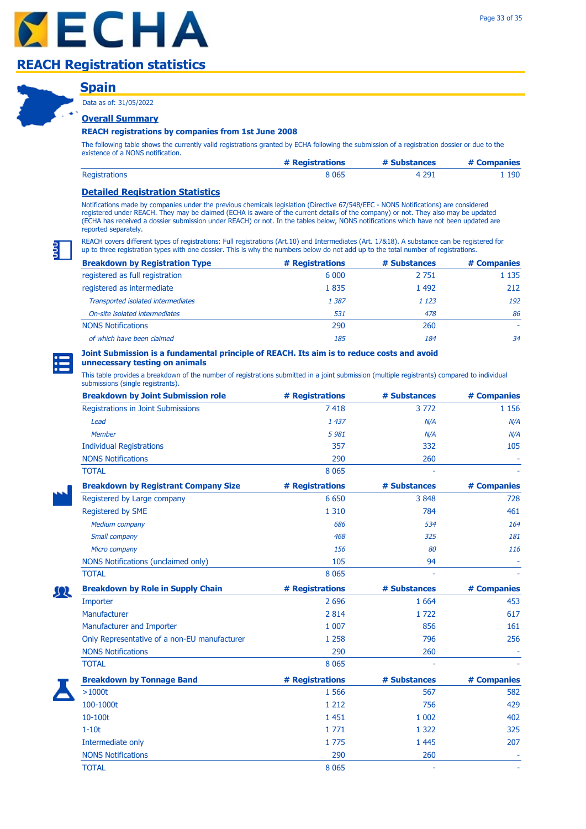### **Spain**

Data as of: 31/05/2022

### **Overall Summary**

#### **REACH registrations by companies from 1st June 2008**

The following table shows the currently valid registrations granted by ECHA following the submission of a registration dossier or due to the existence of a NONS notification.

|                      | # Registrations | # Substances | # Companies |
|----------------------|-----------------|--------------|-------------|
| <b>Registrations</b> | 8 065           | 4 2 9 1      | 190         |

### **Detailed Registration Statistics**

Notifications made by companies under the previous chemicals legislation (Directive 67/548/EEC - NONS Notifications) are considered registered under REACH. They may be claimed (ECHA is aware of the current details of the company) or not. They also may be updated (ECHA has received a dossier submission under REACH) or not. In the tables below, NONS notifications which have not been updated are reported separately.

REACH covers different types of registrations: Full registrations (Art.10) and Intermediates (Art. 17&18). A substance can be registered for up to three registration types with one dossier. This is why the numbers below do not add up to the total number of registrations.

| <b>Breakdown by Registration Type</b> | # Registrations | # Substances | # Companies |
|---------------------------------------|-----------------|--------------|-------------|
| registered as full registration       | 6 0 0 0         | 2 7 5 1      | 1 1 3 5     |
| registered as intermediate            | 1835            | 1 4 9 2      | 212         |
| Transported isolated intermediates    | 1 3 8 7         | 1 1 2 3      | 192         |
| On-site isolated intermediates        | 531             | 478          | 86          |
| <b>NONS Notifications</b>             | 290             | 260          |             |
| of which have been claimed            | 185             | 184          | 34          |

#### **Joint Submission is a fundamental principle of REACH. Its aim is to reduce costs and avoid unnecessary testing on animals**

| <b>Breakdown by Joint Submission role</b>    | # Registrations | # Substances | # Companies |
|----------------------------------------------|-----------------|--------------|-------------|
| Registrations in Joint Submissions           | 7418            | 3772         | 1 1 5 6     |
| Lead                                         | 1 437           | N/A          | N/A         |
| <b>Member</b>                                | 5981            | N/A          | N/A         |
| <b>Individual Registrations</b>              | 357             | 332          | 105         |
| <b>NONS Notifications</b>                    | 290             | 260          |             |
| <b>TOTAL</b>                                 | 8 0 6 5         |              |             |
| <b>Breakdown by Registrant Company Size</b>  | # Registrations | # Substances | # Companies |
| Registered by Large company                  | 6 6 5 0         | 3848         | 728         |
| Registered by SME                            | 1 3 1 0         | 784          | 461         |
| <b>Medium company</b>                        | 686             | 534          | 164         |
| Small company                                | 468             | 325          | 181         |
| Micro company                                | 156             | 80           | 116         |
| NONS Notifications (unclaimed only)          | 105             | 94           |             |
| <b>TOTAL</b>                                 | 8 0 6 5         |              |             |
| <b>Breakdown by Role in Supply Chain</b>     | # Registrations | # Substances | # Companies |
| Importer                                     | 2 6 9 6         | 1 6 6 4      | 453         |
| Manufacturer                                 | 2 8 1 4         | 1722         | 617         |
| Manufacturer and Importer                    | 1 0 0 7         | 856          | 161         |
| Only Representative of a non-EU manufacturer | 1 2 5 8         | 796          | 256         |
| <b>NONS Notifications</b>                    | 290             | 260          |             |
| <b>TOTAL</b>                                 | 8 0 6 5         |              |             |
| <b>Breakdown by Tonnage Band</b>             | # Registrations | # Substances | # Companies |
| $>1000t$                                     | 1 5 6 6         | 567          | 582         |
| 100-1000t                                    | 1 2 1 2         | 756          | 429         |
| 10-100t                                      | 1 4 5 1         | 1 0 0 2      | 402         |
| $1-10t$                                      | 1771            | 1 3 2 2      | 325         |
| Intermediate only                            | 1775            | 1 4 4 5      | 207         |
| <b>NONS Notifications</b>                    | 290             | 260          |             |
| <b>TOTAL</b>                                 | 8 0 6 5         |              |             |

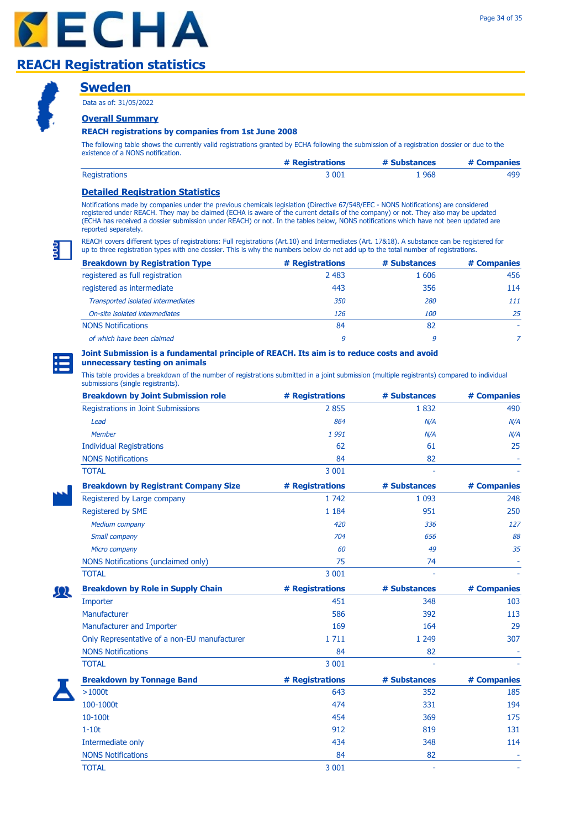### **Sweden**

Data as of: 31/05/2022

### **Overall Summary**

### **REACH registrations by companies from 1st June 2008**

The following table shows the currently valid registrations granted by ECHA following the submission of a registration dossier or due to the existence of a NONS notification.

|                      | # Registrations | # Substances | # Companies |
|----------------------|-----------------|--------------|-------------|
| <b>Registrations</b> | 3 001           | 968 ،        | 499         |

### **Detailed Registration Statistics**

Notifications made by companies under the previous chemicals legislation (Directive 67/548/EEC - NONS Notifications) are considered registered under REACH. They may be claimed (ECHA is aware of the current details of the company) or not. They also may be updated (ECHA has received a dossier submission under REACH) or not. In the tables below, NONS notifications which have not been updated are reported separately.

REACH covers different types of registrations: Full registrations (Art.10) and Intermediates (Art. 17&18). A substance can be registered for up to three registration types with one dossier. This is why the numbers below do not add up to the total number of registrations.

| <b>Breakdown by Registration Type</b> | # Registrations | # Substances | # Companies |
|---------------------------------------|-----------------|--------------|-------------|
| registered as full registration       | 2 4 8 3         | 1606         | 456         |
| registered as intermediate            | 443             | 356          | 114         |
| Transported isolated intermediates    | <i>350</i>      | 280          | 111         |
| On-site isolated intermediates        | 126             | <i>100</i>   | 25          |
| <b>NONS Notifications</b>             | 84              | 82           |             |
| of which have been claimed            | 9               | 9            |             |

# **Joint Submission is a fundamental principle of REACH. Its aim is to reduce costs and avoid**

### **unnecessary testing on animals**

| <b>Breakdown by Joint Submission role</b>    | # Registrations | # Substances | # Companies |
|----------------------------------------------|-----------------|--------------|-------------|
| Registrations in Joint Submissions           | 2855            | 1832         | 490         |
| Lead                                         | 864             | N/A          | N/A         |
| <b>Member</b>                                | 1991            | N/A          | N/A         |
| <b>Individual Registrations</b>              | 62              | 61           | 25          |
| <b>NONS Notifications</b>                    | 84              | 82           |             |
| <b>TOTAL</b>                                 | 3 0 0 1         |              |             |
| <b>Breakdown by Registrant Company Size</b>  | # Registrations | # Substances | # Companies |
| Registered by Large company                  | 1 742           | 1 0 9 3      | 248         |
| Registered by SME                            | 1 1 8 4         | 951          | 250         |
| Medium company                               | 420             | 336          | 127         |
| Small company                                | 704             | 656          | 88          |
| Micro company                                | 60              | 49           | 35          |
| NONS Notifications (unclaimed only)          | 75              | 74           |             |
| <b>TOTAL</b>                                 | 3 0 0 1         |              |             |
| <b>Breakdown by Role in Supply Chain</b>     | # Registrations | # Substances | # Companies |
| Importer                                     | 451             | 348          | 103         |
| Manufacturer                                 | 586             | 392          | 113         |
| Manufacturer and Importer                    | 169             | 164          | 29          |
| Only Representative of a non-EU manufacturer | 1711            | 1 2 4 9      | 307         |
| <b>NONS Notifications</b>                    | 84              | 82           |             |
| <b>TOTAL</b>                                 | 3 0 0 1         |              |             |
| <b>Breakdown by Tonnage Band</b>             | # Registrations | # Substances | # Companies |
| $>1000t$                                     | 643             | 352          | 185         |
|                                              |                 |              |             |
| 100-1000t                                    | 474             | 331          | 194         |
| 10-100t                                      | 454             | 369          | 175         |
| $1-10t$                                      | 912             | 819          | 131         |
| Intermediate only                            | 434             | 348          | 114         |
| <b>NONS Notifications</b>                    | 84              | 82           |             |
| <b>TOTAL</b>                                 | 3 0 0 1         |              |             |